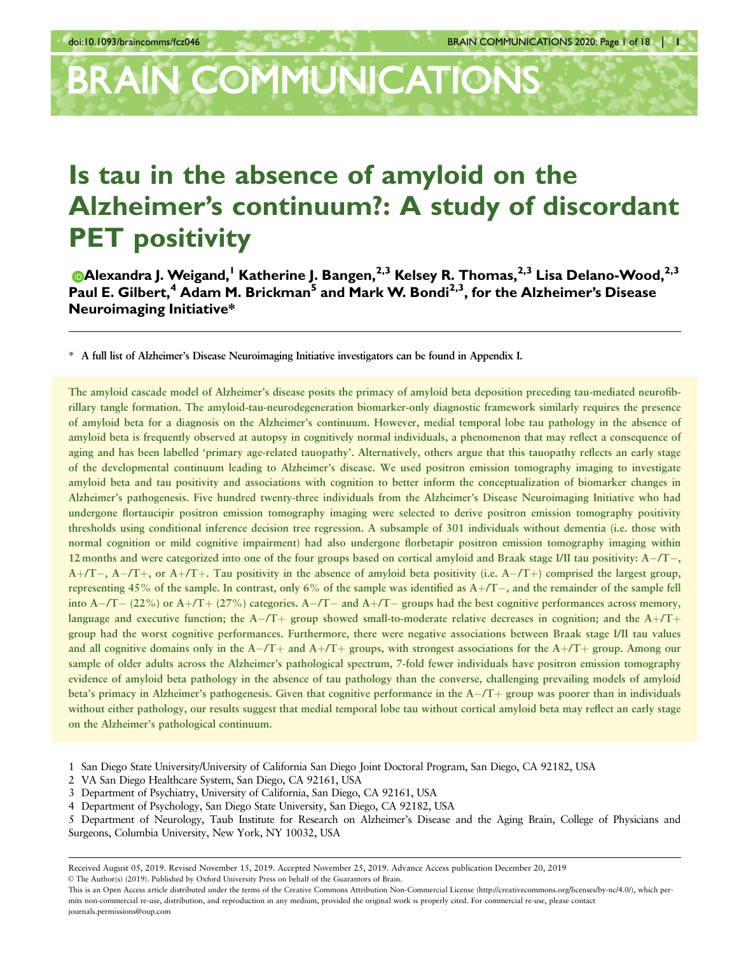# **BRAIN COMMUNICATIONS**

# Is tau in the absence of amyloid on the Alzheimer's continuum?: A study of discordant PET positivity

**DAlexandra J. Weigand,<sup>1</sup> Katherine J. Bangen,**<sup>2,3</sup> Kelsey R. Thomas,<sup>2,3</sup> Lisa Delano-Wood,<sup>2,3</sup> Paul E. Gilbert,<sup>4</sup> Adam M. Brickman<sup>5</sup> and Mark W. Bondi<sup>2,3</sup>, for the Alzheimer's Disease Neuroimaging Initiative\*

\* A full list of Alzheimer's Disease Neuroimaging Initiative investigators can be found in Appendix I.

The amyloid cascade model of Alzheimer's disease posits the primacy of amyloid beta deposition preceding tau-mediated neurofibrillary tangle formation. The amyloid-tau-neurodegeneration biomarker-only diagnostic framework similarly requires the presence of amyloid beta for a diagnosis on the Alzheimer's continuum. However, medial temporal lobe tau pathology in the absence of amyloid beta is frequently observed at autopsy in cognitively normal individuals, a phenomenon that may reflect a consequence of aging and has been labelled 'primary age-related tauopathy'. Alternatively, others argue that this tauopathy reflects an early stage of the developmental continuum leading to Alzheimer's disease. We used positron emission tomography imaging to investigate amyloid beta and tau positivity and associations with cognition to better inform the conceptualization of biomarker changes in Alzheimer's pathogenesis. Five hundred twenty-three individuals from the Alzheimer's Disease Neuroimaging Initiative who had undergone flortaucipir positron emission tomography imaging were selected to derive positron emission tomography positivity thresholds using conditional inference decision tree regression. A subsample of 301 individuals without dementia (i.e. those with normal cognition or mild cognitive impairment) had also undergone florbetapir positron emission tomography imaging within 12 months and were categorized into one of the four groups based on cortical amyloid and Braak stage I/II tau positivity: A-/T-, A+/T-, A-/T+, or A+/T+. Tau positivity in the absence of amyloid beta positivity (i.e. A-/T+) comprised the largest group, representing 45% of the sample. In contrast, only 6% of the sample was identified as A+/T–, and the remainder of the sample fell into A–/T– (22%) or A+/T+ (27%) categories. A–/T– and A+/T– groups had the best cognitive performances across memory, language and executive function; the  $A - T$  group showed small-to-moderate relative decreases in cognition; and the  $A + T$ group had the worst cognitive performances. Furthermore, there were negative associations between Braak stage I/II tau values and all cognitive domains only in the A–/T+ and A+/T+ groups, with strongest associations for the A+/T+ group. Among our sample of older adults across the Alzheimer's pathological spectrum, 7-fold fewer individuals have positron emission tomography evidence of amyloid beta pathology in the absence of tau pathology than the converse, challenging prevailing models of amyloid beta's primacy in Alzheimer's pathogenesis. Given that cognitive performance in the A–/T+ group was poorer than in individuals without either pathology, our results suggest that medial temporal lobe tau without cortical amyloid beta may reflect an early stage on the Alzheimer's pathological continuum.

- 2 VA San Diego Healthcare System, San Diego, CA 92161, USA
- 3 Department of Psychiatry, University of California, San Diego, CA 92161, USA
- 4 Department of Psychology, San Diego State University, San Diego, CA 92182, USA

5 Department of Neurology, Taub Institute for Research on Alzheimer's Disease and the Aging Brain, College of Physicians and Surgeons, Columbia University, New York, NY 10032, USA

<sup>1</sup> San Diego State University/University of California San Diego Joint Doctoral Program, San Diego, CA 92182, USA

Received August 05, 2019. Revised November 15, 2019. Accepted November 25, 2019. Advance Access publication December 20, 2019 V<sup>C</sup> The Author(s) (2019). Published by Oxford University Press on behalf of the Guarantors of Brain.

This is an Open Access article distributed under the terms of the Creative Commons Attribution Non-Commercial License (http://creativecommons.org/licenses/by-nc/4.0/), which permits non-commercial re-use, distribution, and reproduction in any medium, provided the original work is properly cited. For commercial re-use, please contact journals.permissions@oup.com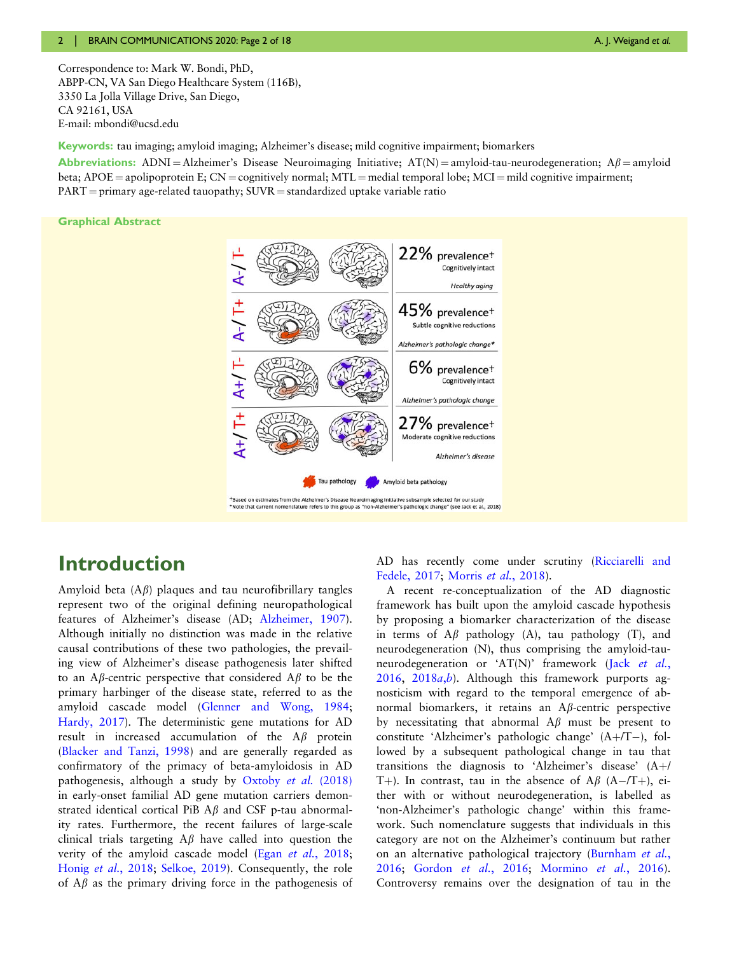Correspondence to: Mark W. Bondi, PhD, ABPP-CN, VA San Diego Healthcare System (116B), 3350 La Jolla Village Drive, San Diego, CA 92161, USA E-mail: mbondi@ucsd.edu

Keywords: tau imaging; amyloid imaging; Alzheimer's disease; mild cognitive impairment; biomarkers

Abbreviations: ADNI = Alzheimer's Disease Neuroimaging Initiative;  $AT(N) =$ amyloid-tau-neurodegeneration;  $A\beta =$ amyloid beta; APOE = apolipoprotein E; CN = cognitively normal; MTL = medial temporal lobe; MCI = mild cognitive impairment;  $PART = primary$  age-related tauopathy;  $SUVR = standardized$  uptake variable ratio

#### Graphical Abstract



## Introduction

Amyloid beta  $(A\beta)$  plaques and tau neurofibrillary tangles represent two of the original defining neuropathological features of Alzheimer's disease (AD; [Alzheimer, 1907](#page-14-0)). Although initially no distinction was made in the relative causal contributions of these two pathologies, the prevailing view of Alzheimer's disease pathogenesis later shifted to an A $\beta$ -centric perspective that considered A $\beta$  to be the primary harbinger of the disease state, referred to as the amyloid cascade model ([Glenner and Wong, 1984;](#page-14-0) [Hardy, 2017](#page-14-0)). The deterministic gene mutations for AD result in increased accumulation of the  $A\beta$  protein [\(Blacker and Tanzi, 1998](#page-14-0)) and are generally regarded as confirmatory of the primacy of beta-amyloidosis in AD pathogenesis, although a study by [Oxtoby](#page-15-0) et al. (2018) in early-onset familial AD gene mutation carriers demonstrated identical cortical PiB  $A\beta$  and CSF p-tau abnormality rates. Furthermore, the recent failures of large-scale clinical trials targeting  $A\beta$  have called into question the verity of the amyloid cascade model (Egan et al.[, 2018;](#page-14-0) Honig et al.[, 2018](#page-14-0); [Selkoe, 2019\)](#page-15-0). Consequently, the role of  $A\beta$  as the primary driving force in the pathogenesis of AD has recently come under scrutiny [\(Ricciarelli and](#page-15-0) [Fedele, 2017;](#page-15-0) [Morris](#page-15-0) et al., 2018).

A recent re-conceptualization of the AD diagnostic framework has built upon the amyloid cascade hypothesis by proposing a biomarker characterization of the disease in terms of  $\Lambda\beta$  pathology (A), tau pathology (T), and neurodegeneration (N), thus comprising the amyloid-tauneurodegeneration or 'AT(N)' framework (Jack *[et al.](#page-14-0)*,  $2016$ ,  $2018a,b$  $2018a,b$ ). Although this framework purports agnosticism with regard to the temporal emergence of abnormal biomarkers, it retains an  $A\beta$ -centric perspective by necessitating that abnormal  $A\beta$  must be present to constitute 'Alzheimer's pathologic change'  $(A+/T-)$ , followed by a subsequent pathological change in tau that transitions the diagnosis to 'Alzheimer's disease'  $(A+$ T+). In contrast, tau in the absence of A $\beta$  (A-/T+), either with or without neurodegeneration, is labelled as 'non-Alzheimer's pathologic change' within this framework. Such nomenclature suggests that individuals in this category are not on the Alzheimer's continuum but rather on an alternative pathological trajectory ([Burnham](#page-14-0) et al., [2016](#page-14-0); [Gordon](#page-14-0) et al., 2016; [Mormino](#page-15-0) et al., 2016). Controversy remains over the designation of tau in the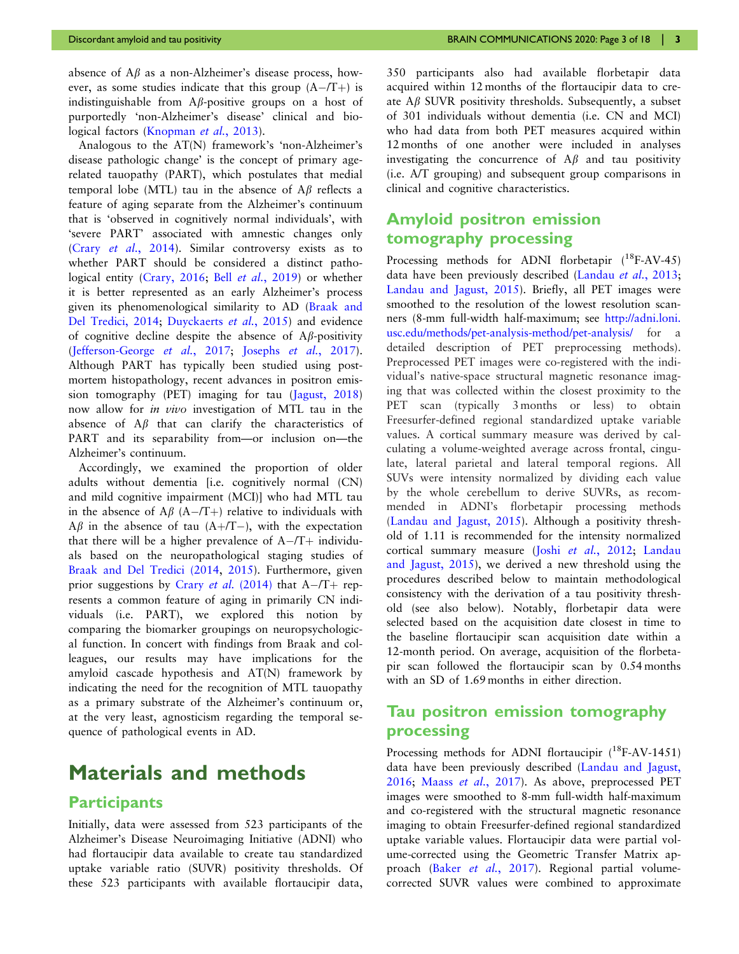absence of  $A\beta$  as a non-Alzheimer's disease process, however, as some studies indicate that this group  $(A - /T+)$  is indistinguishable from  $A\beta$ -positive groups on a host of purportedly 'non-Alzheimer's disease' clinical and bio-logical factors ([Knopman](#page-15-0) et al., 2013).

Analogous to the AT(N) framework's 'non-Alzheimer's disease pathologic change' is the concept of primary agerelated tauopathy (PART), which postulates that medial temporal lobe (MTL) tau in the absence of  $\overrightarrow{AB}$  reflects a feature of aging separate from the Alzheimer's continuum that is 'observed in cognitively normal individuals', with 'severe PART' associated with amnestic changes only (Crary et al.[, 2014\)](#page-14-0). Similar controversy exists as to whether PART should be considered a distinct pathological entity [\(Crary, 2016](#page-14-0); Bell et al.[, 2019\)](#page-14-0) or whether it is better represented as an early Alzheimer's process given its phenomenological similarity to AD [\(Braak and](#page-14-0) [Del Tredici, 2014;](#page-14-0) [Duyckaerts](#page-14-0) et al., 2015) and evidence of cognitive decline despite the absence of  $A\beta$ -positivity ([Jefferson-George](#page-14-0) et al., 2017; Josephs et al.[, 2017\)](#page-14-0). Although PART has typically been studied using postmortem histopathology, recent advances in positron emission tomography (PET) imaging for tau ([Jagust, 2018\)](#page-14-0) now allow for in vivo investigation of MTL tau in the absence of  $A\beta$  that can clarify the characteristics of PART and its separability from—or inclusion on—the Alzheimer's continuum.

Accordingly, we examined the proportion of older adults without dementia [i.e. cognitively normal (CN) and mild cognitive impairment (MCI)] who had MTL tau in the absence of  $A\beta$  (A–/T+) relative to individuals with  $A\beta$  in the absence of tau  $(A+/T-)$ , with the expectation that there will be a higher prevalence of  $A - T$  individuals based on the neuropathological staging studies of [Braak and Del Tredici \(2014,](#page-14-0) [2015](#page-14-0)). Furthermore, given prior suggestions by Crary et al. [\(2014\)](#page-14-0) that A-/T+ represents a common feature of aging in primarily CN individuals (i.e. PART), we explored this notion by comparing the biomarker groupings on neuropsychological function. In concert with findings from Braak and colleagues, our results may have implications for the amyloid cascade hypothesis and AT(N) framework by indicating the need for the recognition of MTL tauopathy as a primary substrate of the Alzheimer's continuum or, at the very least, agnosticism regarding the temporal sequence of pathological events in AD.

# Materials and methods

#### **Participants**

Initially, data were assessed from 523 participants of the Alzheimer's Disease Neuroimaging Initiative (ADNI) who had flortaucipir data available to create tau standardized uptake variable ratio (SUVR) positivity thresholds. Of these 523 participants with available flortaucipir data, 350 participants also had available florbetapir data acquired within 12 months of the flortaucipir data to create  $\overline{AB}$  SUVR positivity thresholds. Subsequently, a subset of 301 individuals without dementia (i.e. CN and MCI) who had data from both PET measures acquired within 12 months of one another were included in analyses investigating the concurrence of  $A\beta$  and tau positivity (i.e. A/T grouping) and subsequent group comparisons in clinical and cognitive characteristics.

## Amyloid positron emission tomography processing

Processing methods for ADNI florbetapir  $(^{18}F-AV-45)$ data have been previously described ([Landau](#page-15-0) et al., 2013; [Landau and Jagust, 2015\)](#page-15-0). Briefly, all PET images were smoothed to the resolution of the lowest resolution scanners (8-mm full-width half-maximum; see [http://adni.loni.](http://adni.loni.usc.edu/methods/pet-analysis-method/pet-analysis/) [usc.edu/methods/pet-analysis-method/pet-analysis/](http://adni.loni.usc.edu/methods/pet-analysis-method/pet-analysis/) for a detailed description of PET preprocessing methods). Preprocessed PET images were co-registered with the individual's native-space structural magnetic resonance imaging that was collected within the closest proximity to the PET scan (typically 3 months or less) to obtain Freesurfer-defined regional standardized uptake variable values. A cortical summary measure was derived by calculating a volume-weighted average across frontal, cingulate, lateral parietal and lateral temporal regions. All SUVs were intensity normalized by dividing each value by the whole cerebellum to derive SUVRs, as recommended in ADNI's florbetapir processing methods ([Landau and Jagust, 2015](#page-15-0)). Although a positivity threshold of 1.11 is recommended for the intensity normalized cortical summary measure (Joshi et al.[, 2012;](#page-15-0) [Landau](#page-15-0) [and Jagust, 2015](#page-15-0)), we derived a new threshold using the procedures described below to maintain methodological consistency with the derivation of a tau positivity threshold (see also below). Notably, florbetapir data were selected based on the acquisition date closest in time to the baseline flortaucipir scan acquisition date within a 12-month period. On average, acquisition of the florbetapir scan followed the flortaucipir scan by 0.54 months with an SD of 1.69 months in either direction.

## Tau positron emission tomography processing

Processing methods for ADNI flortaucipir  $(^{18}F-AV-1451)$ data have been previously described ([Landau and Jagust,](#page-15-0) [2016;](#page-15-0) Maass et al.[, 2017\)](#page-15-0). As above, preprocessed PET images were smoothed to 8-mm full-width half-maximum and co-registered with the structural magnetic resonance imaging to obtain Freesurfer-defined regional standardized uptake variable values. Flortaucipir data were partial volume-corrected using the Geometric Transfer Matrix approach (Baker et al.[, 2017](#page-14-0)). Regional partial volumecorrected SUVR values were combined to approximate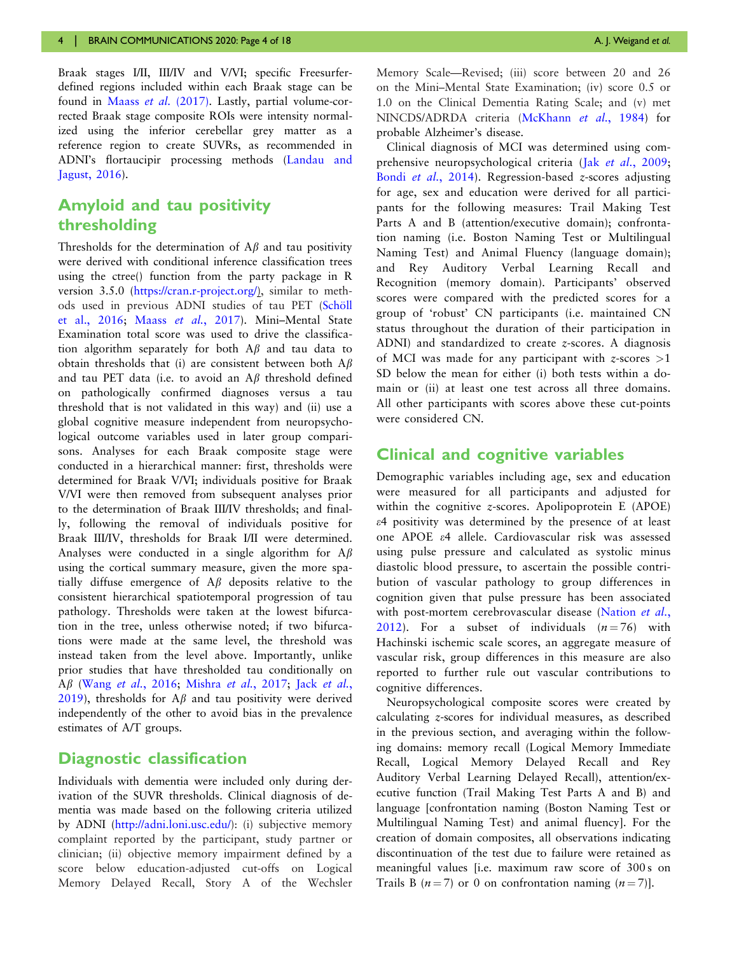Braak stages I/II, III/IV and V/VI; specific Freesurferdefined regions included within each Braak stage can be found in Maass et al. [\(2017\)](#page-15-0). Lastly, partial volume-corrected Braak stage composite ROIs were intensity normalized using the inferior cerebellar grey matter as a reference region to create SUVRs, as recommended in ADNI's flortaucipir processing methods ([Landau and](#page-15-0) [Jagust, 2016\)](#page-15-0).

## Amyloid and tau positivity thresholding

Thresholds for the determination of  $A\beta$  and tau positivity were derived with conditional inference classification trees using the ctree() function from the party package in R version 3.5.0 (<https://cran.r-project.org/>), similar to methods used in previous ADNI studies of tau PET (Schöll [et al., 2016](#page-15-0); Maass et al.[, 2017](#page-15-0)). Mini–Mental State Examination total score was used to drive the classification algorithm separately for both  $A\beta$  and tau data to obtain thresholds that (i) are consistent between both  $A\beta$ and tau PET data (i.e. to avoid an  $AB$  threshold defined on pathologically confirmed diagnoses versus a tau threshold that is not validated in this way) and (ii) use a global cognitive measure independent from neuropsychological outcome variables used in later group comparisons. Analyses for each Braak composite stage were conducted in a hierarchical manner: first, thresholds were determined for Braak V/VI; individuals positive for Braak V/VI were then removed from subsequent analyses prior to the determination of Braak III/IV thresholds; and finally, following the removal of individuals positive for Braak III/IV, thresholds for Braak I/II were determined. Analyses were conducted in a single algorithm for  $A\beta$ using the cortical summary measure, given the more spatially diffuse emergence of  $A\beta$  deposits relative to the consistent hierarchical spatiotemporal progression of tau pathology. Thresholds were taken at the lowest bifurcation in the tree, unless otherwise noted; if two bifurcations were made at the same level, the threshold was instead taken from the level above. Importantly, unlike prior studies that have thresholded tau conditionally on A $\beta$  (Wang et al.[, 2016;](#page-15-0) [Mishra](#page-15-0) [et al.](#page-14-0), 2017; Jack et al., [2019](#page-14-0)), thresholds for  $A\beta$  and tau positivity were derived independently of the other to avoid bias in the prevalence estimates of A/T groups.

#### Diagnostic classification

Individuals with dementia were included only during derivation of the SUVR thresholds. Clinical diagnosis of dementia was made based on the following criteria utilized by ADNI [\(http://adni.loni.usc.edu/](http://adni.loni.usc.edu/)): (i) subjective memory complaint reported by the participant, study partner or clinician; (ii) objective memory impairment defined by a score below education-adjusted cut-offs on Logical Memory Delayed Recall, Story A of the Wechsler

Memory Scale—Revised; (iii) score between 20 and 26 on the Mini–Mental State Examination; (iv) score 0.5 or 1.0 on the Clinical Dementia Rating Scale; and (v) met NINCDS/ADRDA criteria ([McKhann](#page-15-0) et al., 1984) for probable Alzheimer's disease.

Clinical diagnosis of MCI was determined using comprehensive neuropsychological criteria (Jak et al.[, 2009](#page-14-0); Bondi et al.[, 2014](#page-14-0)). Regression-based *z*-scores adjusting for age, sex and education were derived for all participants for the following measures: Trail Making Test Parts A and B (attention/executive domain); confrontation naming (i.e. Boston Naming Test or Multilingual Naming Test) and Animal Fluency (language domain); and Rey Auditory Verbal Learning Recall and Recognition (memory domain). Participants' observed scores were compared with the predicted scores for a group of 'robust' CN participants (i.e. maintained CN status throughout the duration of their participation in ADNI) and standardized to create z-scores. A diagnosis of MCI was made for any participant with *z*-scores  $>1$ SD below the mean for either (i) both tests within a domain or (ii) at least one test across all three domains. All other participants with scores above these cut-points were considered CN.

#### Clinical and cognitive variables

Demographic variables including age, sex and education were measured for all participants and adjusted for within the cognitive z-scores. Apolipoprotein E (APOE) e4 positivity was determined by the presence of at least one APOE e4 allele. Cardiovascular risk was assessed using pulse pressure and calculated as systolic minus diastolic blood pressure, to ascertain the possible contribution of vascular pathology to group differences in cognition given that pulse pressure has been associated with post-mortem cerebrovascular disease ([Nation](#page-15-0) et al., [2012](#page-15-0)). For a subset of individuals  $(n=76)$  with Hachinski ischemic scale scores, an aggregate measure of vascular risk, group differences in this measure are also reported to further rule out vascular contributions to cognitive differences.

Neuropsychological composite scores were created by calculating z-scores for individual measures, as described in the previous section, and averaging within the following domains: memory recall (Logical Memory Immediate Recall, Logical Memory Delayed Recall and Rey Auditory Verbal Learning Delayed Recall), attention/executive function (Trail Making Test Parts A and B) and language [confrontation naming (Boston Naming Test or Multilingual Naming Test) and animal fluency]. For the creation of domain composites, all observations indicating discontinuation of the test due to failure were retained as meaningful values [i.e. maximum raw score of 300 s on Trails B  $(n=7)$  or 0 on confrontation naming  $(n=7)$ ].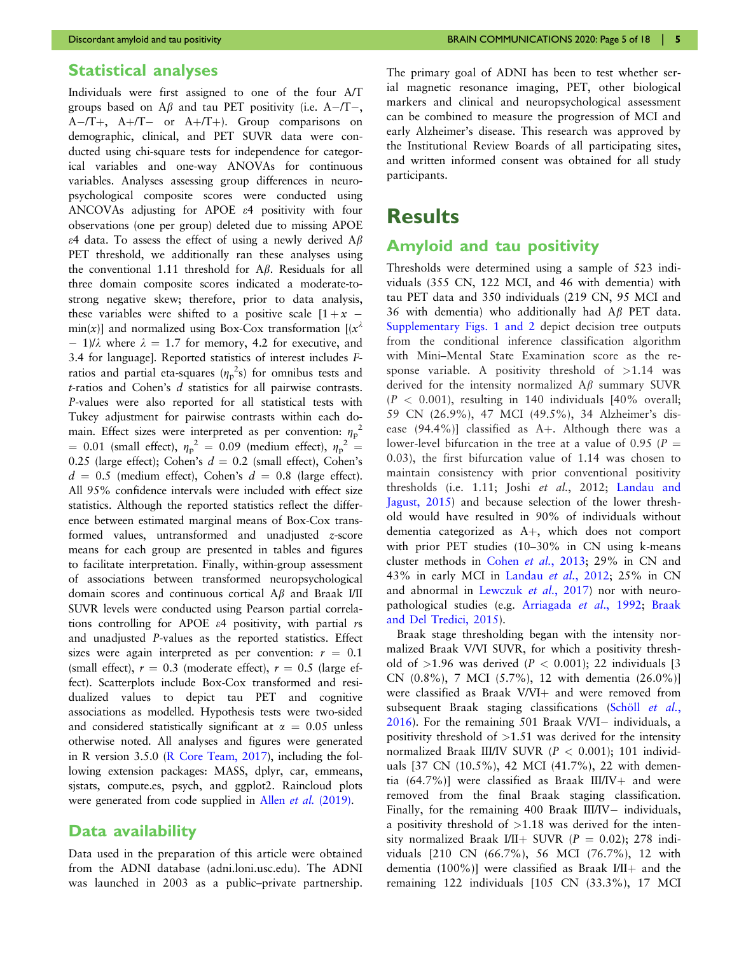#### Statistical analyses

Individuals were first assigned to one of the four A/T groups based on A $\beta$  and tau PET positivity (i.e. A–/T–,  $A - T +$ ,  $A + T -$  or  $A + T +$ ). Group comparisons on demographic, clinical, and PET SUVR data were conducted using chi-square tests for independence for categorical variables and one-way ANOVAs for continuous variables. Analyses assessing group differences in neuropsychological composite scores were conducted using ANCOVAs adjusting for APOE e4 positivity with four observations (one per group) deleted due to missing APOE  $\varepsilon$ 4 data. To assess the effect of using a newly derived A $\beta$ PET threshold, we additionally ran these analyses using the conventional 1.11 threshold for  $A\beta$ . Residuals for all three domain composite scores indicated a moderate-tostrong negative skew; therefore, prior to data analysis, these variables were shifted to a positive scale  $[1+x$  $min(x)$ ] and normalized using Box-Cox transformation  $(x^{\lambda})$  $-1/\lambda$  where  $\lambda = 1.7$  for memory, 4.2 for executive, and 3.4 for language]. Reported statistics of interest includes Fratios and partial eta-squares  $(\eta_{\rm p}^{\ 2}{\rm s})$  for omnibus tests and t-ratios and Cohen's d statistics for all pairwise contrasts. P-values were also reported for all statistical tests with Tukey adjustment for pairwise contrasts within each domain. Effect sizes were interpreted as per convention:  $\eta_p^2$ = 0.01 (small effect),  $\eta_p^2 = 0.09$  (medium effect),  $\eta_p^2 =$ 0.25 (large effect); Cohen's  $d = 0.2$  (small effect), Cohen's  $d = 0.5$  (medium effect), Cohen's  $d = 0.8$  (large effect). All 95% confidence intervals were included with effect size statistics. Although the reported statistics reflect the difference between estimated marginal means of Box-Cox transformed values, untransformed and unadjusted z-score means for each group are presented in tables and figures to facilitate interpretation. Finally, within-group assessment of associations between transformed neuropsychological domain scores and continuous cortical  $A\beta$  and Braak I/II SUVR levels were conducted using Pearson partial correlations controlling for APOE e4 positivity, with partial rs and unadjusted P-values as the reported statistics. Effect sizes were again interpreted as per convention:  $r = 0.1$ (small effect),  $r = 0.3$  (moderate effect),  $r = 0.5$  (large effect). Scatterplots include Box-Cox transformed and residualized values to depict tau PET and cognitive associations as modelled. Hypothesis tests were two-sided and considered statistically significant at  $\alpha = 0.05$  unless otherwise noted. All analyses and figures were generated in R version 3.5.0 [\(R Core Team, 2017](#page-15-0)), including the following extension packages: MASS, dplyr, car, emmeans, sjstats, compute.es, psych, and ggplot2. Raincloud plots were generated from code supplied in Allen *et al.* [\(2019\).](#page-14-0)

#### Data availability

Data used in the preparation of this article were obtained from the ADNI database (adni.loni.usc.edu). The ADNI was launched in 2003 as a public–private partnership. The primary goal of ADNI has been to test whether serial magnetic resonance imaging, PET, other biological markers and clinical and neuropsychological assessment can be combined to measure the progression of MCI and early Alzheimer's disease. This research was approved by the Institutional Review Boards of all participating sites, and written informed consent was obtained for all study participants.

## **Results**

#### Amyloid and tau positivity

Thresholds were determined using a sample of 523 individuals (355 CN, 122 MCI, and 46 with dementia) with tau PET data and 350 individuals (219 CN, 95 MCI and 36 with dementia) who additionally had  $\overrightarrow{AB}$  PET data. [Supplementary Figs. 1 and 2](https://academic.oup.com/braincomms/article-lookup/doi/10.1093/braincomms/fcz046#supplementary-data) depict decision tree outputs from the conditional inference classification algorithm with Mini–Mental State Examination score as the response variable. A positivity threshold of  $>1.14$  was derived for the intensity normalized  $A\beta$  summary SUVR  $(P < 0.001)$ , resulting in 140 individuals [40% overall; 59 CN (26.9%), 47 MCI (49.5%), 34 Alzheimer's disease  $(94.4\%)$ ] classified as A+. Although there was a lower-level bifurcation in the tree at a value of 0.95 ( $P =$ 0.03), the first bifurcation value of 1.14 was chosen to maintain consistency with prior conventional positivity thresholds (i.e. 1.11; Joshi et al., 2012; [Landau and](#page-15-0) [Jagust, 2015](#page-15-0)) and because selection of the lower threshold would have resulted in 90% of individuals without dementia categorized as  $A+$ , which does not comport with prior PET studies (10–30% in CN using k-means cluster methods in Cohen et al.[, 2013](#page-14-0); 29% in CN and 43% in early MCI in [Landau](#page-15-0) et al., 2012; 25% in CN and abnormal in [Lewczuk](#page-15-0) et al., 2017) nor with neuro-pathological studies (e.g. [Arriagada](#page-14-0) et al., 1992; [Braak](#page-14-0) [and Del Tredici, 2015\)](#page-14-0).

Braak stage thresholding began with the intensity normalized Braak V/VI SUVR, for which a positivity threshold of  $>1.96$  was derived ( $P < 0.001$ ); 22 individuals [3 CN (0.8%), 7 MCI (5.7%), 12 with dementia (26.0%)] were classified as Braak  $V/VI$  and were removed from subsequent Braak staging classifications (Schöll et al., [2016\)](#page-15-0). For the remaining 501 Braak V/VI- individuals, a positivity threshold of  $>1.51$  was derived for the intensity normalized Braak III/IV SUVR ( $P < 0.001$ ); 101 individuals [37 CN (10.5%), 42 MCI (41.7%), 22 with dementia  $(64.7\%)$ ] were classified as Braak III/IV + and were removed from the final Braak staging classification. Finally, for the remaining 400 Braak III/IV- individuals, a positivity threshold of  $>1.18$  was derived for the intensity normalized Braak I/II+ SUVR ( $P = 0.02$ ); 278 individuals [210 CN (66.7%), 56 MCI (76.7%), 12 with dementia (100%)] were classified as Braak I/II+ and the remaining 122 individuals [105 CN (33.3%), 17 MCI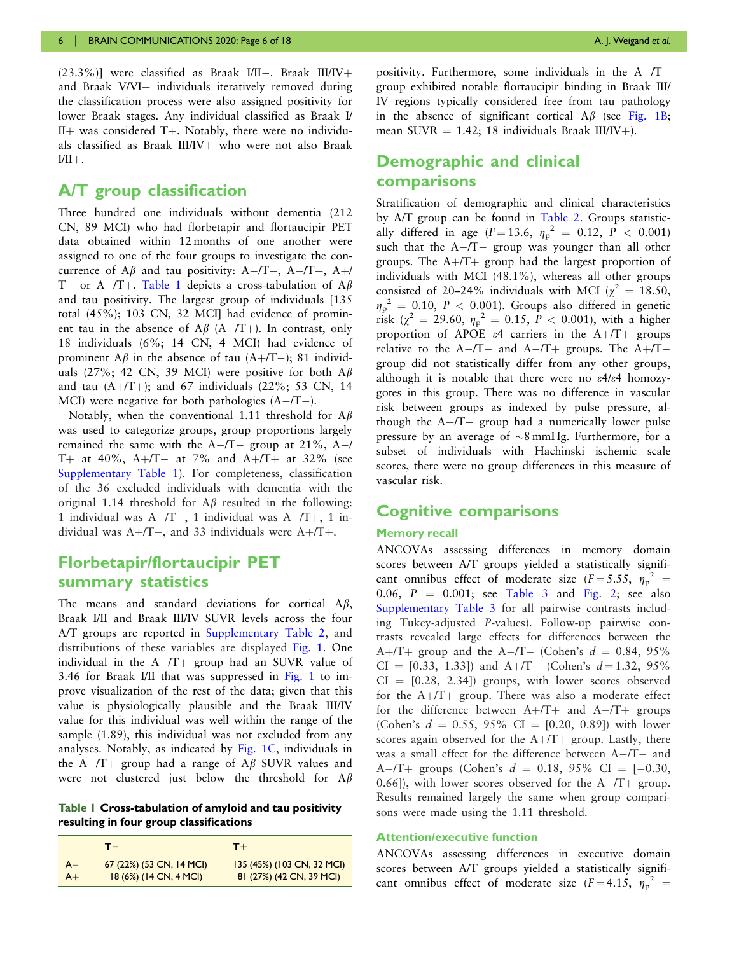$(23.3\%)$ ] were classified as Braak I/II-. Braak III/IV+ and Braak  $V/VI+$  individuals iteratively removed during the classification process were also assigned positivity for lower Braak stages. Any individual classified as Braak I/ II+ was considered  $T+$ . Notably, there were no individuals classified as Braak III/IV+ who were not also Braak  $I/II+$ .

#### A/T group classification

Three hundred one individuals without dementia (212 CN, 89 MCI) who had florbetapir and flortaucipir PET data obtained within 12 months of one another were assigned to one of the four groups to investigate the concurrence of A $\beta$  and tau positivity: A-/T-, A-/T+, A+/ T– or A+/T+. Table 1 depicts a cross-tabulation of A $\beta$ and tau positivity. The largest group of individuals [135 total (45%); 103 CN, 32 MCI] had evidence of prominent tau in the absence of A $\beta$  (A-/T+). In contrast, only 18 individuals (6%; 14 CN, 4 MCI) had evidence of prominent A $\beta$  in the absence of tau (A+/T-); 81 individuals (27%; 42 CN, 39 MCI) were positive for both  $A\beta$ and tau  $(A+/T+)$ ; and 67 individuals (22%; 53 CN, 14 MCI) were negative for both pathologies  $(A - T)$ .

Notably, when the conventional 1.11 threshold for  $A\beta$ was used to categorize groups, group proportions largely remained the same with the A-/T- group at 21%, A-/ T+ at 40%, A+/T– at 7% and A+/T+ at 32% (see [Supplementary Table 1](https://academic.oup.com/braincomms/article-lookup/doi/10.1093/braincomms/fcz046#supplementary-data)). For completeness, classification of the 36 excluded individuals with dementia with the original 1.14 threshold for  $A\beta$  resulted in the following: 1 individual was  $A - T -$ , 1 individual was  $A - T +$ , 1 individual was  $A+/T-$ , and 33 individuals were  $A+/T+$ .

## Florbetapir/flortaucipir PET summary statistics

The means and standard deviations for cortical  $A\beta$ , Braak I/II and Braak III/IV SUVR levels across the four A/T groups are reported in [Supplementary Table 2](https://academic.oup.com/braincomms/article-lookup/doi/10.1093/braincomms/fcz046#supplementary-data), and distributions of these variables are displayed [Fig. 1.](#page-6-0) One individual in the  $A - T +$  group had an SUVR value of 3.46 for Braak I/II that was suppressed in [Fig. 1](#page-6-0) to improve visualization of the rest of the data; given that this value is physiologically plausible and the Braak III/IV value for this individual was well within the range of the sample (1.89), this individual was not excluded from any analyses. Notably, as indicated by [Fig. 1C,](#page-6-0) individuals in the A–/T+ group had a range of A $\beta$  SUVR values and were not clustered just below the threshold for  $A\beta$ 

Table 1 Cross-tabulation of amyloid and tau positivity resulting in four group classifications

|       | $T -$                    | $T +$                      |
|-------|--------------------------|----------------------------|
| $A -$ | 67 (22%) (53 CN, 14 MCI) | 135 (45%) (103 CN, 32 MCI) |
| $A+$  | 18 (6%) (14 CN, 4 MCI)   | 81 (27%) (42 CN, 39 MCI)   |

positivity. Furthermore, some individuals in the  $A - T$ + group exhibited notable flortaucipir binding in Braak III/ IV regions typically considered free from tau pathology in the absence of significant cortical  $A\beta$  (see [Fig. 1B](#page-6-0); mean SUVR = 1.42; 18 individuals Braak III/IV+).

## Demographic and clinical comparisons

Stratification of demographic and clinical characteristics by A/T group can be found in [Table 2.](#page-6-0) Groups statistically differed in age ( $F = 13.6$ ,  $\eta_{\rm p}^2 = 0.12$ ,  $P < 0.001$ ) such that the A-/T- group was younger than all other groups. The  $A+/T+$  group had the largest proportion of individuals with MCI (48.1%), whereas all other groups consisted of 20–24% individuals with MCI ( $\chi^2 = 18.50$ ,  $\eta_p^2 = 0.10, P < 0.001$ ). Groups also differed in genetic risk ( $\chi^2 = 29.60$ ,  $\eta_p^2 = 0.15$ ,  $P < 0.001$ ), with a higher proportion of APOE  $\varepsilon$ 4 carriers in the A+/T+ groups relative to the  $A - T -$  and  $A - T +$  groups. The  $A + T$ group did not statistically differ from any other groups, although it is notable that there were no  $\varepsilon 4/\varepsilon 4$  homozygotes in this group. There was no difference in vascular risk between groups as indexed by pulse pressure, although the  $A + T -$  group had a numerically lower pulse pressure by an average of  $\sim 8$  mmHg. Furthermore, for a subset of individuals with Hachinski ischemic scale scores, there were no group differences in this measure of vascular risk.

#### Cognitive comparisons

#### Memory recall

ANCOVAs assessing differences in memory domain scores between A/T groups yielded a statistically significant omnibus effect of moderate size ( $F = 5.55$ ,  $\eta_p^2$ ) 0.06,  $P = 0.001$ ; see [Table 3](#page-7-0) and [Fig. 2](#page-7-0); see also [Supplementary Table 3](https://academic.oup.com/braincomms/article-lookup/doi/10.1093/braincomms/fcz046#supplementary-data) for all pairwise contrasts including Tukey-adjusted P-values). Follow-up pairwise contrasts revealed large effects for differences between the A+/T+ group and the A-/T- (Cohen's  $d = 0.84, 95\%$  $CI = [0.33, 1.33]$  and A+/T- (Cohen's  $d=1.32, 95\%$  $CI = [0.28, 2.34]$  groups, with lower scores observed for the  $A+/T+$  group. There was also a moderate effect for the difference between  $A+/\Gamma+$  and  $A-/\Gamma+$  groups (Cohen's  $d = 0.55, 95\%$  CI = [0.20, 0.89]) with lower scores again observed for the  $A+/T+$  group. Lastly, there was a small effect for the difference between  $A - T -$  and A-/T+ groups (Cohen's  $d = 0.18, 95\%$  CI = [-0.30, 0.66]), with lower scores observed for the  $A - T +$  group. Results remained largely the same when group comparisons were made using the 1.11 threshold.

#### Attention/executive function

ANCOVAs assessing differences in executive domain scores between A/T groups yielded a statistically significant omnibus effect of moderate size  $(F=4.15, \eta_p^2)$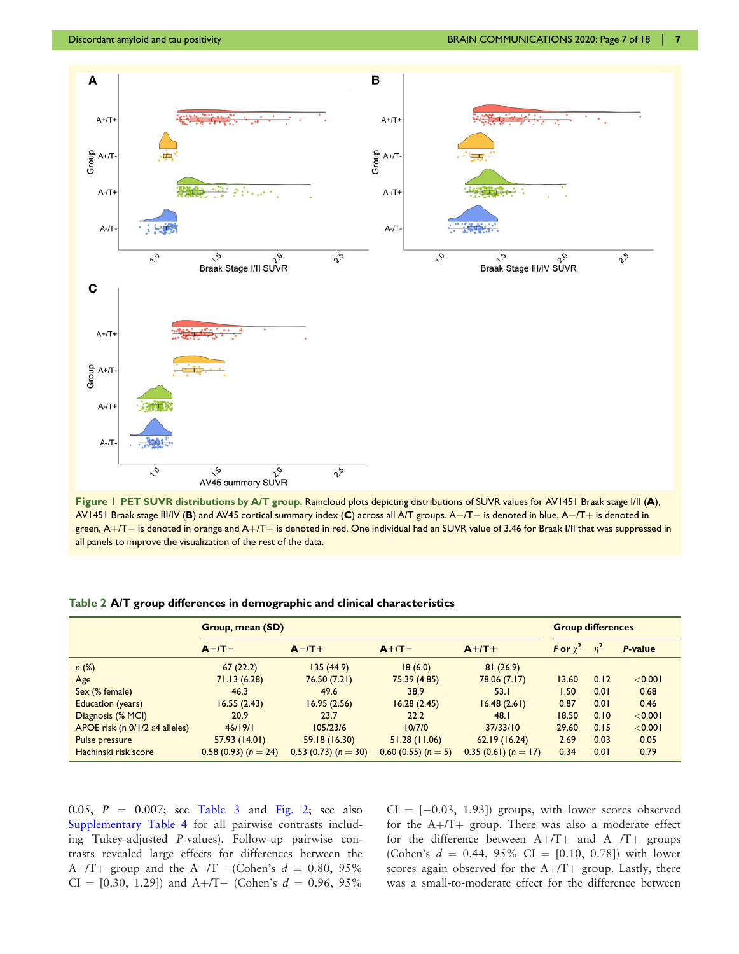<span id="page-6-0"></span>

Figure 1 PET SUVR distributions by A/T group. Raincloud plots depicting distributions of SUVR values for AV1451 Braak stage I/II (A), AV1451 Braak stage III/IV (**B**) and AV45 cortical summary index (**C**) across all A/T groups. A $-$ /T $-$  is denoted in blue, A $-$ /T $+$  is denoted in green, A $+\prime$ T $-$  is denoted in orange and A $+\prime$ T $+$  is denoted in red. One individual had an SUVR value of 3.46 for Braak I/II that was suppressed in all panels to improve the visualization of the rest of the data.

|  | Table 2 A/T group differences in demographic and clinical characteristics |  |
|--|---------------------------------------------------------------------------|--|
|  |                                                                           |  |

|                                               | Group, mean (SD)     |                    |                         |                      | <b>Group differences</b> |       |         |
|-----------------------------------------------|----------------------|--------------------|-------------------------|----------------------|--------------------------|-------|---------|
|                                               | $A-I$ T $-$          | $A - T +$          | $A+IT-$                 | $A+/T+$              | For $\gamma^2$           | $n^2$ | P-value |
| $n$ (%)                                       | 67(22.2)             | 135(44.9)          | 18(6.0)                 | 81(26.9)             |                          |       |         |
| Age                                           | 71.13(6.28)          | 76.50(7.21)        | 75.39 (4.85)            | 78.06 (7.17)         | 13.60                    | 0.12  | < 0.001 |
| Sex (% female)                                | 46.3                 | 49.6               | 38.9                    | 53.1                 | 1.50                     | 0.01  | 0.68    |
| Education (years)                             | 16.55(2.43)          | 16.95(2.56)        | 16.28(2.45)             | 16.48(2.61)          | 0.87                     | 0.01  | 0.46    |
| Diagnosis (% MCI)                             | 20.9                 | 23.7               | 22.2                    | 48.1                 | 18.50                    | 0.10  | < 0.001 |
| APOE risk (n $0/1/2$ $\varepsilon$ 4 alleles) | 46/19/1              | 105/23/6           | 10/7/0                  | 37/33/10             | 29.60                    | 0.15  | < 0.001 |
| <b>Pulse pressure</b>                         | 57.93 (14.01)        | 59.18 (16.30)      | 51.28(11.06)            | 62.19 (16.24)        | 2.69                     | 0.03  | 0.05    |
| Hachinski risk score                          | $0.58(0.93)(n = 24)$ | $0.53(0.73)(n=30)$ | 0.60 (0.55) ( $n = 5$ ) | $0.35(0.61)(n = 17)$ | 0.34                     | 0.01  | 0.79    |

0.05,  $P = 0.007$ ; see [Table 3](#page-7-0) and [Fig. 2;](#page-7-0) see also [Supplementary Table 4](https://academic.oup.com/braincomms/article-lookup/doi/10.1093/braincomms/fcz046#supplementary-data) for all pairwise contrasts including Tukey-adjusted P-values). Follow-up pairwise contrasts revealed large effects for differences between the A+/T+ group and the A–/T– (Cohen's  $d = 0.80, 95\%$  $CI = [0.30, 1.29]$  and  $A+/T-$  (Cohen's  $d = 0.96, 95\%$ 

 $CI = [-0.03, 1.93]$  groups, with lower scores observed for the  $A+/T+$  group. There was also a moderate effect for the difference between  $A+/T+$  and  $A-T+$  groups (Cohen's  $d = 0.44, 95\%$  CI = [0.10, 0.78]) with lower scores again observed for the  $A+/T+$  group. Lastly, there was a small-to-moderate effect for the difference between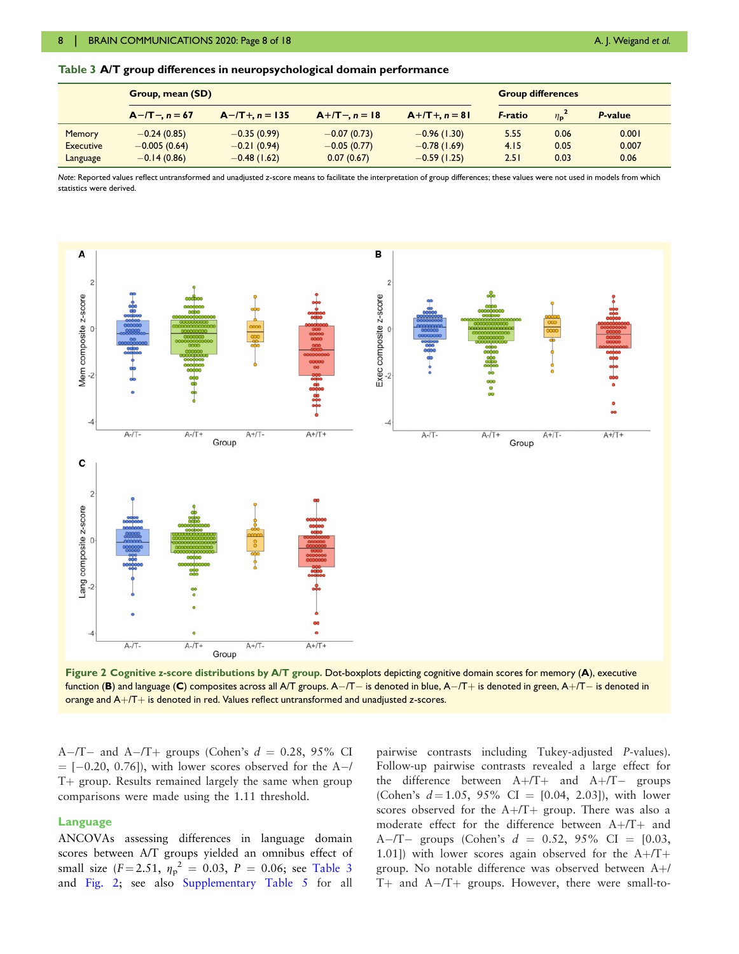#### <span id="page-7-0"></span>Table 3 A/T group differences in neuropsychological domain performance

|           | Group, mean (SD)      |                        |                       |               | <b>Group differences</b> |                  |         |
|-----------|-----------------------|------------------------|-----------------------|---------------|--------------------------|------------------|---------|
|           | $A - /T -$ , $n = 67$ | $A - /T +$ , $n = 135$ | $A+ / T -$ , $n = 18$ | $A+/T+, n=81$ | F-ratio                  | $\eta_{\rm p}^2$ | P-value |
| Memory    | $-0.24(0.85)$         | $-0.35(0.99)$          | $-0.07(0.73)$         | $-0.96(1.30)$ | 5.55                     | 0.06             | 0.001   |
| Executive | $-0.005(0.64)$        | $-0.21(0.94)$          | $-0.05(0.77)$         | $-0.78(1.69)$ | 4.15                     | 0.05             | 0.007   |
| Language  | $-0.14(0.86)$         | $-0.48(1.62)$          | 0.07(0.67)            | $-0.59(1.25)$ | 2.51                     | 0.03             | 0.06    |

Note: Reported values reflect untransformed and unadjusted z-score means to facilitate the interpretation of group differences; these values were not used in models from which statistics were derived.



Figure 2 Cognitive z-score distributions by A/T group. Dot-boxplots depicting cognitive domain scores for memory (A), executive function (**B**) and language (**C**) composites across all A/T groups. A $-$ /T $-$  is denoted in blue, A $-$ /T $+$  is denoted in green, A $+$ /T $-$  is denoted in orange and  $A + /T +$  is denoted in red. Values reflect untransformed and unadjusted z-scores.

A-/T- and A-/T+ groups (Cohen's  $d = 0.28, 95\%$  CI  $=[-0.20, 0.76]$ , with lower scores observed for the A–/  $T+$  group. Results remained largely the same when group comparisons were made using the 1.11 threshold.

#### Language

ANCOVAs assessing differences in language domain scores between A/T groups yielded an omnibus effect of small size ( $F = 2.51$ ,  $\eta_p^2 = 0.03$ ,  $P = 0.06$ ; see Table 3 and Fig. 2; see also [Supplementary Table 5](https://academic.oup.com/braincomms/article-lookup/doi/10.1093/braincomms/fcz046#supplementary-data) for all pairwise contrasts including Tukey-adjusted P-values). Follow-up pairwise contrasts revealed a large effect for the difference between  $A+/T+$  and  $A+/T-$  groups (Cohen's  $d = 1.05$ , 95% CI = [0.04, 2.03]), with lower scores observed for the  $A+/T+$  group. There was also a moderate effect for the difference between  $A+/T+$  and A-/T- groups (Cohen's  $d = 0.52, 95\%$  CI = [0.03, 1.01]) with lower scores again observed for the  $A + /T +$ group. No notable difference was observed between  $A+/ T$ + and  $A$ - $/T$ + groups. However, there were small-to-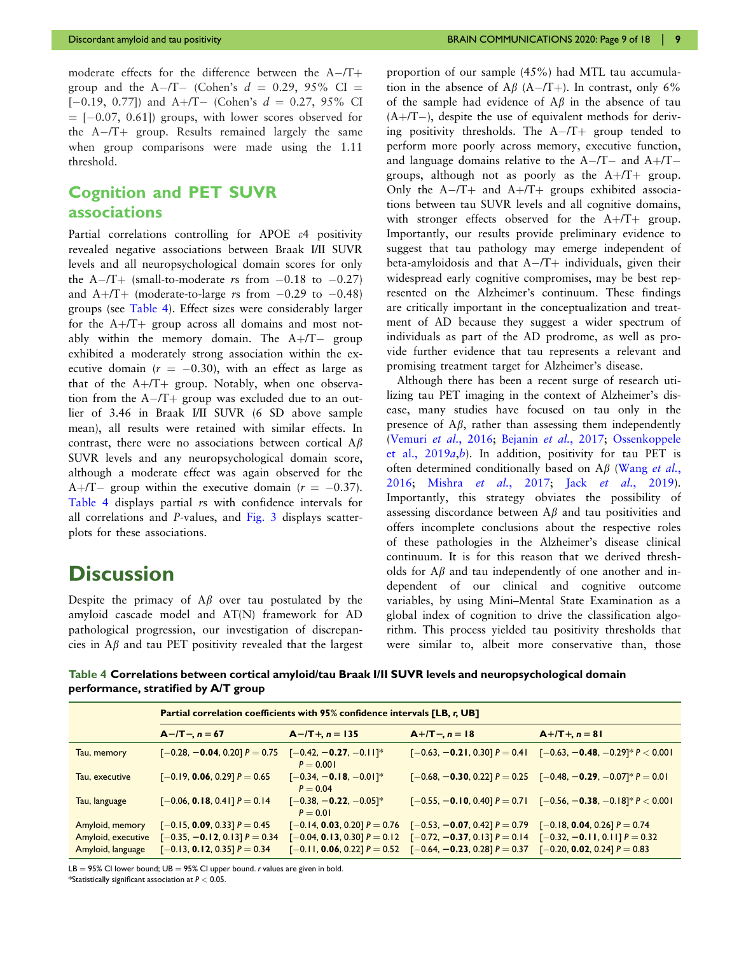moderate effects for the difference between the  $A - T$ + group and the A–/T– (Cohen's  $d = 0.29,~95\%$  CI =  $[-0.19, 0.77]$  and A+/T- (Cohen's  $d = 0.27, 95\%$  CI  $=[-0.07, 0.61]$  groups, with lower scores observed for the A–/T+ group. Results remained largely the same when group comparisons were made using the 1.11 threshold.

## Cognition and PET SUVR associations

Partial correlations controlling for APOE  $\varepsilon$ 4 positivity revealed negative associations between Braak I/II SUVR levels and all neuropsychological domain scores for only the A–/T+ (small-to-moderate *r*s from  $-0.18$  to  $-0.27$ ) and A+/T+ (moderate-to-large  $rs$  from  $-0.29$  to  $-0.48$ ) groups (see Table 4). Effect sizes were considerably larger for the  $A+/T+$  group across all domains and most notably within the memory domain. The  $A + T -$  group exhibited a moderately strong association within the executive domain ( $r = -0.30$ ), with an effect as large as that of the  $A+/T+$  group. Notably, when one observation from the A–/T+ group was excluded due to an outlier of 3.46 in Braak I/II SUVR (6 SD above sample mean), all results were retained with similar effects. In contrast, there were no associations between cortical  $A\beta$ SUVR levels and any neuropsychological domain score, although a moderate effect was again observed for the A+/T- group within the executive domain ( $r = -0.37$ ). Table 4 displays partial rs with confidence intervals for all correlations and P-values, and [Fig. 3](#page-9-0) displays scatterplots for these associations.

## **Discussion**

Despite the primacy of  $A\beta$  over tau postulated by the amyloid cascade model and AT(N) framework for AD pathological progression, our investigation of discrepancies in  $A\beta$  and tau PET positivity revealed that the largest proportion of our sample (45%) had MTL tau accumulation in the absence of A $\beta$  (A-/T+). In contrast, only 6% of the sample had evidence of  $A\beta$  in the absence of tau  $(A+/T-)$ , despite the use of equivalent methods for deriving positivity thresholds. The  $A - T + g$  roup tended to perform more poorly across memory, executive function, and language domains relative to the  $A - T -$  and  $A + T$ groups, although not as poorly as the  $A+/T+$  group. Only the  $A - T +$  and  $A + T +$  groups exhibited associations between tau SUVR levels and all cognitive domains, with stronger effects observed for the  $A+/T+$  group. Importantly, our results provide preliminary evidence to suggest that tau pathology may emerge independent of beta-amyloidosis and that  $A - T$  individuals, given their widespread early cognitive compromises, may be best represented on the Alzheimer's continuum. These findings are critically important in the conceptualization and treatment of AD because they suggest a wider spectrum of individuals as part of the AD prodrome, as well as provide further evidence that tau represents a relevant and promising treatment target for Alzheimer's disease.

Although there has been a recent surge of research utilizing tau PET imaging in the context of Alzheimer's disease, many studies have focused on tau only in the presence of  $\Delta\beta$ , rather than assessing them independently ([Vemuri](#page-15-0) et al., 2016; [Bejanin](#page-14-0) et al., 2017; [Ossenkoppele](#page-15-0) et al.,  $2019a,b$  $2019a,b$ ). In addition, positivity for tau PET is often determined conditionally based on  $A\beta$  ([Wang](#page-15-0) et al., [2016;](#page-15-0) Mishra et al.[, 2017;](#page-15-0) Jack et al.[, 2019\)](#page-14-0). Importantly, this strategy obviates the possibility of assessing discordance between  $A\beta$  and tau positivities and offers incomplete conclusions about the respective roles of these pathologies in the Alzheimer's disease clinical continuum. It is for this reason that we derived thresholds for  $A\beta$  and tau independently of one another and independent of our clinical and cognitive outcome variables, by using Mini–Mental State Examination as a global index of cognition to drive the classification algorithm. This process yielded tau positivity thresholds that were similar to, albeit more conservative than, those

Table 4 Correlations between cortical amyloid/tau Braak I/II SUVR levels and neuropsychological domain performance, stratified by A/T group

|                    | Partial correlation coefficients with 95% confidence intervals [LB, r, UB] |                                          |                                                                                                |                                                                                  |  |  |
|--------------------|----------------------------------------------------------------------------|------------------------------------------|------------------------------------------------------------------------------------------------|----------------------------------------------------------------------------------|--|--|
|                    | $A - /T -$ , n = 67                                                        | $A - /T +$ , $n = 135$                   | $A+/T-, n=18$                                                                                  | $A+ / T + n = 81$                                                                |  |  |
| Tau, memory        | $[-0.28, -0.04, 0.20] P = 0.75$                                            | $[-0.42, -0.27, -0.11]^*$<br>$P = 0.001$ | $[-0.63, -0.21, 0.30] P = 0.41$                                                                | $[-0.63, -0.48, -0.29]$ <sup>*</sup> $P < 0.001$                                 |  |  |
| Tau, executive     | $[-0.19, 0.06, 0.29] P = 0.65$                                             | $[-0.34, -0.18, -0.01]$ *<br>$P = 0.04$  |                                                                                                | $[-0.68, -0.30, 0.22] P = 0.25$ $[-0.48, -0.29, -0.07]$ * P = 0.01               |  |  |
| Tau, language      | $[-0.06, 0.18, 0.41] P = 0.14$                                             | $[-0.38, -0.22, -0.05]$ *<br>$P = 0.01$  |                                                                                                | $[-0.55, -0.10, 0.40] P = 0.71$ $[-0.56, -0.38, -0.18]$ <sup>*</sup> $P < 0.001$ |  |  |
| Amyloid, memory    | $[-0.15, 0.09, 0.33]$ $P = 0.45$                                           |                                          | $[-0.14, 0.03, 0.20]$ P = 0.76 [-0.53, -0.07, 0.42] P = 0.79                                   | $[-0.18, 0.04, 0.26] P = 0.74$                                                   |  |  |
| Amyloid, executive | $[-0.35, -0.12, 0.13] P = 0.34$                                            |                                          | $[-0.04, 0.13, 0.30]$ P = 0.12 $[-0.72, -0.37, 0.13]$ P = 0.14 $[-0.32, -0.11, 0.11]$ P = 0.32 |                                                                                  |  |  |
| Amyloid, language  | $[-0.13, 0.12, 0.35]$ $P = 0.34$                                           |                                          | $[-0.11, 0.06, 0.22]$ P = 0.52 $[-0.64, -0.23, 0.28]$ P = 0.37                                 | $[-0.20, 0.02, 0.24] P = 0.83$                                                   |  |  |

 $LB = 95\%$  CI lower bound;  $UB = 95\%$  CI upper bound. r values are given in bold.

\*Statistically significant association at  $P < 0.05$ .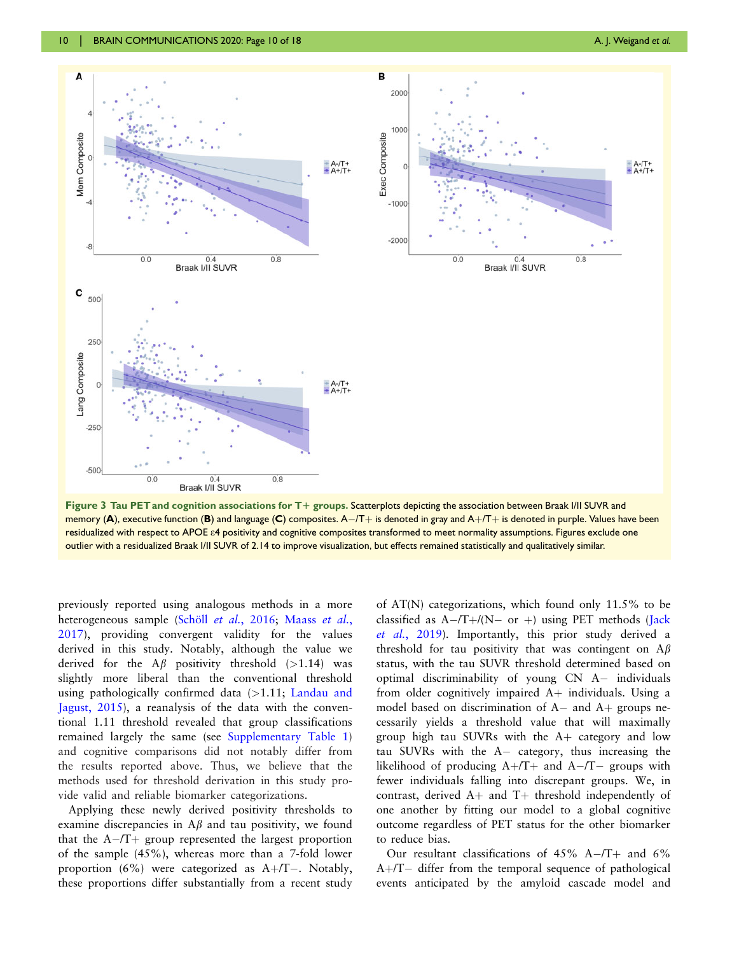<span id="page-9-0"></span>

Figure 3 Tau PET and cognition associations for  $T+$  groups. Scatterplots depicting the association between Braak I/II SUVR and memory (**A**), executive function (**B**) and language (C) composites. A $-$ /T $+$  is denoted in gray and A $+$ /T $+$  is denoted in purple. Values have been residualized with respect to APOE e4 positivity and cognitive composites transformed to meet normality assumptions. Figures exclude one outlier with a residualized Braak I/II SUVR of 2.14 to improve visualization, but effects remained statistically and qualitatively similar.

previously reported using analogous methods in a more heterogeneous sample (Schöll et al.[, 2016](#page-15-0); [Maass](#page-15-0) et al., [2017](#page-15-0)), providing convergent validity for the values derived in this study. Notably, although the value we derived for the  $\mathbf{A}\beta$  positivity threshold (>1.14) was slightly more liberal than the conventional threshold using pathologically confirmed data  $(>1.11;$  [Landau and](#page-15-0) [Jagust, 2015\)](#page-15-0), a reanalysis of the data with the conventional 1.11 threshold revealed that group classifications remained largely the same (see [Supplementary Table 1](https://academic.oup.com/braincomms/article-lookup/doi/10.1093/braincomms/fcz046#supplementary-data)) and cognitive comparisons did not notably differ from the results reported above. Thus, we believe that the methods used for threshold derivation in this study provide valid and reliable biomarker categorizations.

Applying these newly derived positivity thresholds to examine discrepancies in  $A\beta$  and tau positivity, we found that the  $A - T$  group represented the largest proportion of the sample (45%), whereas more than a 7-fold lower proportion  $(6\%)$  were categorized as A+/T-. Notably, these proportions differ substantially from a recent study

of AT(N) categorizations, which found only 11.5% to be classified as  $A - T + / (N - or +)$  using PET methods [\(Jack](#page-14-0) et al.[, 2019\)](#page-14-0). Importantly, this prior study derived a threshold for tau positivity that was contingent on  $A\beta$ status, with the tau SUVR threshold determined based on optimal discriminability of young CN A- individuals from older cognitively impaired  $A$  individuals. Using a model based on discrimination of  $A-$  and  $A+$  groups necessarily yields a threshold value that will maximally group high tau SUVRs with the  $A+$  category and low tau SUVRs with the A- category, thus increasing the likelihood of producing  $A+/T+$  and  $A-T-$  groups with fewer individuals falling into discrepant groups. We, in contrast, derived  $A+$  and  $T+$  threshold independently of one another by fitting our model to a global cognitive outcome regardless of PET status for the other biomarker to reduce bias.

Our resultant classifications of  $45\%$  A- $/T$  and  $6\%$  $A + T -$  differ from the temporal sequence of pathological events anticipated by the amyloid cascade model and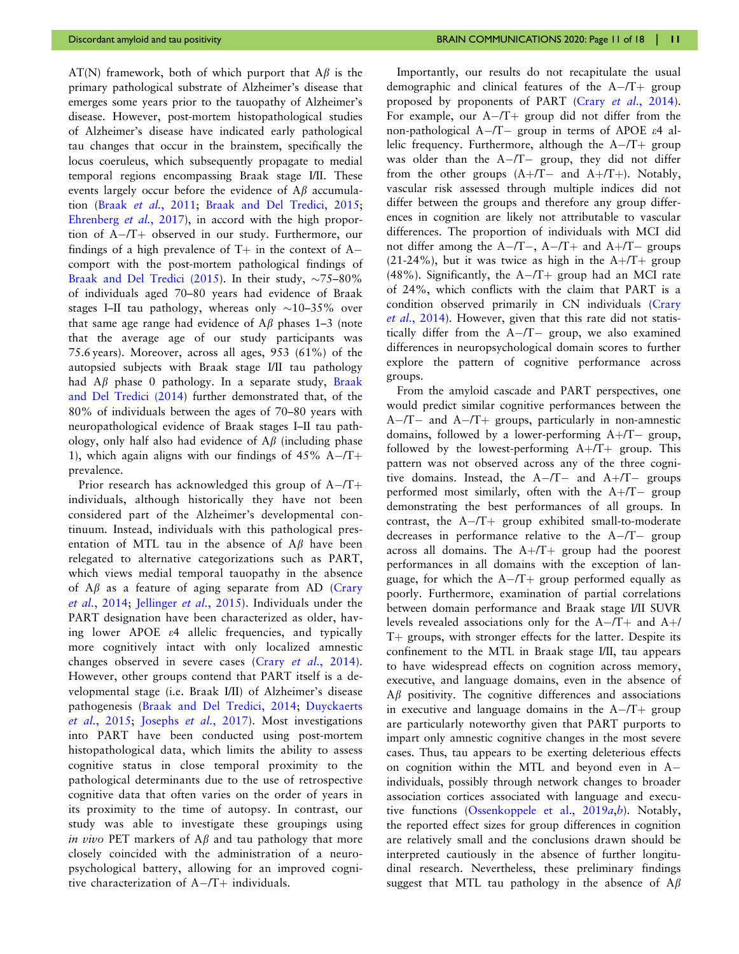AT(N) framework, both of which purport that  $A\beta$  is the primary pathological substrate of Alzheimer's disease that emerges some years prior to the tauopathy of Alzheimer's disease. However, post-mortem histopathological studies of Alzheimer's disease have indicated early pathological tau changes that occur in the brainstem, specifically the locus coeruleus, which subsequently propagate to medial temporal regions encompassing Braak stage I/II. These events largely occur before the evidence of  $A\beta$  accumulation (Braak et al.[, 2011;](#page-14-0) [Braak and Del Tredici, 2015](#page-14-0); [Ehrenberg](#page-14-0) et al., 2017), in accord with the high proportion of A–/T+ observed in our study. Furthermore, our findings of a high prevalence of T+ in the context of A– comport with the post-mortem pathological findings of [Braak and Del Tredici \(2015\)](#page-14-0). In their study,  $\sim$ 75–80% of individuals aged 70–80 years had evidence of Braak stages I–II tau pathology, whereas only  $\sim$ 10–35% over that same age range had evidence of  $A\beta$  phases 1–3 (note that the average age of our study participants was 75.6 years). Moreover, across all ages, 953 (61%) of the autopsied subjects with Braak stage I/II tau pathology had  $A\beta$  phase 0 pathology. In a separate study, [Braak](#page-14-0) [and Del Tredici \(2014](#page-14-0)) further demonstrated that, of the 80% of individuals between the ages of 70–80 years with neuropathological evidence of Braak stages I–II tau pathology, only half also had evidence of  $A\beta$  (including phase 1), which again aligns with our findings of  $45\%$  A- $/$ T+ prevalence.

Prior research has acknowledged this group of  $A-\sqrt{T+1}$ individuals, although historically they have not been considered part of the Alzheimer's developmental continuum. Instead, individuals with this pathological presentation of MTL tau in the absence of  $A\beta$  have been relegated to alternative categorizations such as PART, which views medial temporal tauopathy in the absence of  $A\beta$  as a feature of aging separate from AD ([Crary](#page-14-0) et al.[, 2014](#page-14-0); [Jellinger](#page-14-0) et al., 2015). Individuals under the PART designation have been characterized as older, having lower APOE  $\varepsilon$ 4 allelic frequencies, and typically more cognitively intact with only localized amnestic changes observed in severe cases (Crary et al.[, 2014\)](#page-14-0). However, other groups contend that PART itself is a developmental stage (i.e. Braak I/II) of Alzheimer's disease pathogenesis ([Braak and Del Tredici, 2014;](#page-14-0) [Duyckaerts](#page-14-0) et al.[, 2015;](#page-14-0) [Josephs](#page-14-0) et al., 2017). Most investigations into PART have been conducted using post-mortem histopathological data, which limits the ability to assess cognitive status in close temporal proximity to the pathological determinants due to the use of retrospective cognitive data that often varies on the order of years in its proximity to the time of autopsy. In contrast, our study was able to investigate these groupings using *in vivo* PET markers of  $A\beta$  and tau pathology that more closely coincided with the administration of a neuropsychological battery, allowing for an improved cognitive characterization of  $A - T +$  individuals.

Importantly, our results do not recapitulate the usual demographic and clinical features of the  $A - T +$  group proposed by proponents of PART (Crary et al.[, 2014\)](#page-14-0). For example, our  $A - T$  group did not differ from the non-pathological A-/T- group in terms of APOE e4 allelic frequency. Furthermore, although the  $A - T +$  group was older than the  $A - T -$  group, they did not differ from the other groups  $(A+/T-$  and  $A+/T+$ ). Notably, vascular risk assessed through multiple indices did not differ between the groups and therefore any group differences in cognition are likely not attributable to vascular differences. The proportion of individuals with MCI did not differ among the  $A - T -$ ,  $A - T +$  and  $A + T -$  groups (21-24%), but it was twice as high in the  $A+/T+$  group  $(48\%)$ . Significantly, the A- $/T$ + group had an MCI rate of 24%, which conflicts with the claim that PART is a condition observed primarily in CN individuals ([Crary](#page-14-0) et al.[, 2014](#page-14-0)). However, given that this rate did not statistically differ from the A-/T- group, we also examined differences in neuropsychological domain scores to further explore the pattern of cognitive performance across groups.

From the amyloid cascade and PART perspectives, one would predict similar cognitive performances between the  $A - T -$  and  $A - T +$  groups, particularly in non-amnestic domains, followed by a lower-performing  $A+$ /T- group, followed by the lowest-performing  $A+/T+$  group. This pattern was not observed across any of the three cognitive domains. Instead, the  $A - T -$  and  $A + T -$  groups performed most similarly, often with the  $A + /T -$  group demonstrating the best performances of all groups. In contrast, the  $A - T +$  group exhibited small-to-moderate decreases in performance relative to the  $A - T -$  group across all domains. The  $A+/T+$  group had the poorest performances in all domains with the exception of language, for which the  $A - T$  group performed equally as poorly. Furthermore, examination of partial correlations between domain performance and Braak stage I/II SUVR levels revealed associations only for the  $A - T +$  and  $A + P$  $T+$  groups, with stronger effects for the latter. Despite its confinement to the MTL in Braak stage I/II, tau appears to have widespread effects on cognition across memory, executive, and language domains, even in the absence of  $A\beta$  positivity. The cognitive differences and associations in executive and language domains in the  $A - T$  group are particularly noteworthy given that PART purports to impart only amnestic cognitive changes in the most severe cases. Thus, tau appears to be exerting deleterious effects on cognition within the MTL and beyond even in A individuals, possibly through network changes to broader association cortices associated with language and executive functions (Ossenkoppele et al.,  $2019a,b$  $2019a,b$ ). Notably, the reported effect sizes for group differences in cognition are relatively small and the conclusions drawn should be interpreted cautiously in the absence of further longitudinal research. Nevertheless, these preliminary findings suggest that MTL tau pathology in the absence of  $A\beta$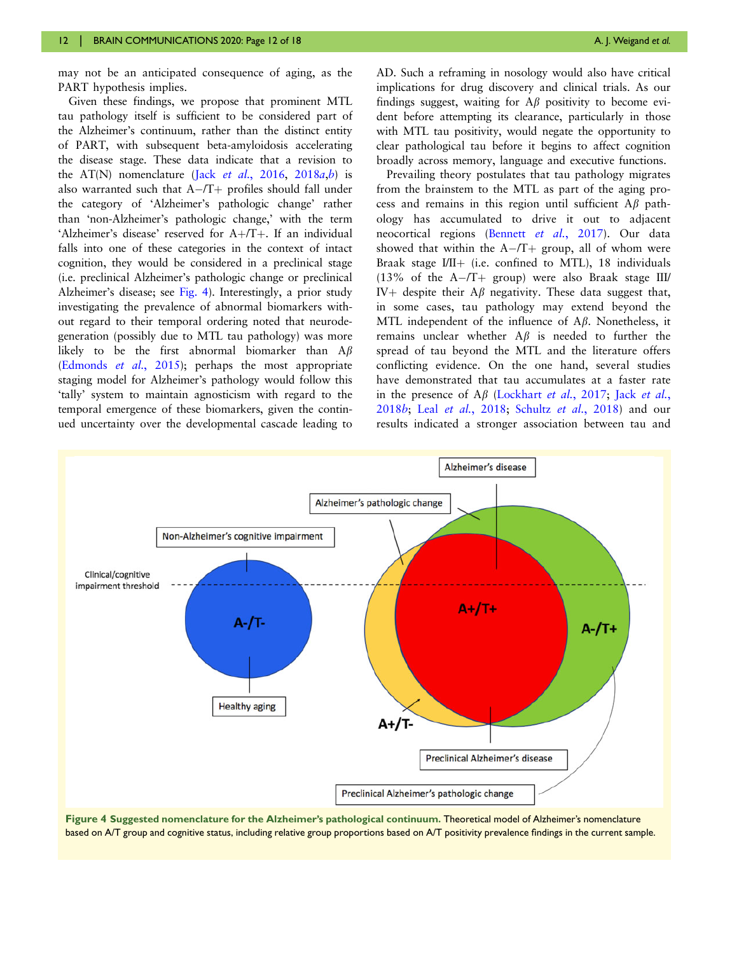may not be an anticipated consequence of aging, as the PART hypothesis implies.

Given these findings, we propose that prominent MTL tau pathology itself is sufficient to be considered part of the Alzheimer's continuum, rather than the distinct entity of PART, with subsequent beta-amyloidosis accelerating the disease stage. These data indicate that a revision to the AT(N) nomenclature (*Jack et al.*[, 2016](#page-14-0), [2018](#page-14-0) $a,b$  $a,b$ ) is also warranted such that  $\mathrm{A-}/\mathrm{T+}$  profiles should fall under the category of 'Alzheimer's pathologic change' rather than 'non-Alzheimer's pathologic change,' with the term 'Alzheimer's disease' reserved for  $A+/\Pi+$ . If an individual falls into one of these categories in the context of intact cognition, they would be considered in a preclinical stage (i.e. preclinical Alzheimer's pathologic change or preclinical Alzheimer's disease; see Fig. 4). Interestingly, a prior study investigating the prevalence of abnormal biomarkers without regard to their temporal ordering noted that neurodegeneration (possibly due to MTL tau pathology) was more likely to be the first abnormal biomarker than  $A\beta$ [\(Edmonds](#page-14-0) et al., 2015); perhaps the most appropriate staging model for Alzheimer's pathology would follow this 'tally' system to maintain agnosticism with regard to the temporal emergence of these biomarkers, given the continued uncertainty over the developmental cascade leading to

AD. Such a reframing in nosology would also have critical implications for drug discovery and clinical trials. As our findings suggest, waiting for  $A\beta$  positivity to become evident before attempting its clearance, particularly in those with MTL tau positivity, would negate the opportunity to clear pathological tau before it begins to affect cognition broadly across memory, language and executive functions.

Prevailing theory postulates that tau pathology migrates from the brainstem to the MTL as part of the aging process and remains in this region until sufficient  $A\beta$  pathology has accumulated to drive it out to adjacent neocortical regions (Bennett et al.[, 2017](#page-14-0)). Our data showed that within the  $A - T +$  group, all of whom were Braak stage I/II+ (i.e. confined to MTL), 18 individuals (13% of the  $A - T +$  group) were also Braak stage III/ IV + despite their  $\Lambda \beta$  negativity. These data suggest that, in some cases, tau pathology may extend beyond the MTL independent of the influence of  $A\beta$ . Nonetheless, it remains unclear whether  $A\beta$  is needed to further the spread of tau beyond the MTL and the literature offers conflicting evidence. On the one hand, several studies have demonstrated that tau accumulates at a faster rate in the presence of  $A\beta$  ([Lockhart](#page-15-0) *[et al.](#page-14-0)*, 2017; Jack *et al.*, [2018](#page-14-0)b; Leal et al.[, 2018;](#page-15-0) [Schultz](#page-15-0) et al., 2018) and our results indicated a stronger association between tau and



Figure 4 Suggested nomenclature for the Alzheimer's pathological continuum. Theoretical model of Alzheimer's nomenclature based on A/T group and cognitive status, including relative group proportions based on A/T positivity prevalence findings in the current sample.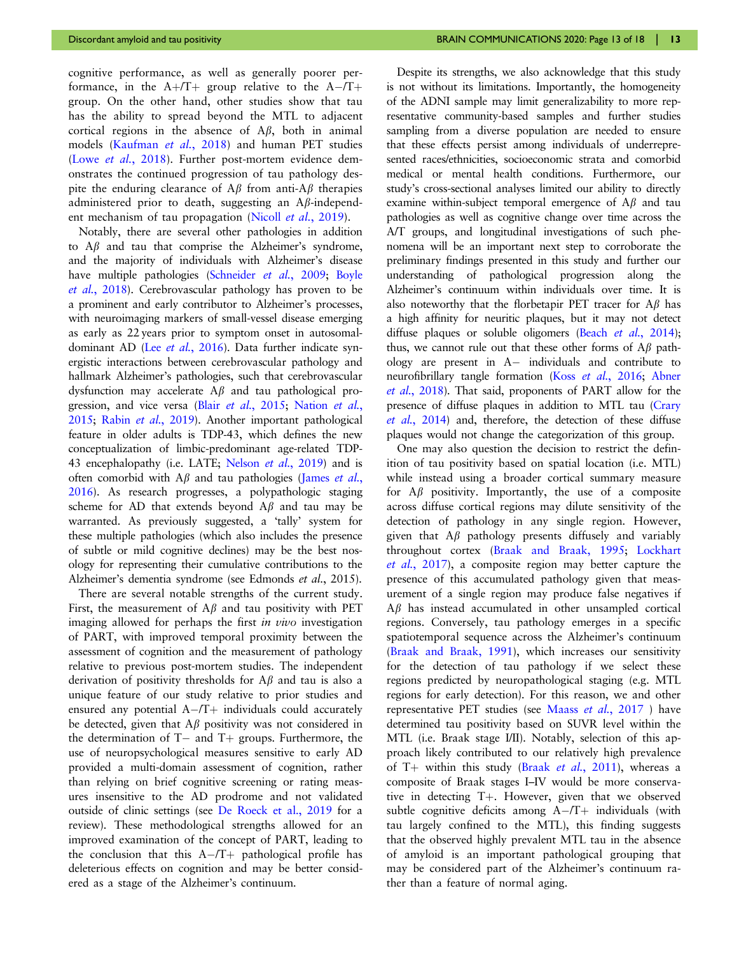cognitive performance, as well as generally poorer performance, in the  $A+/T+$  group relative to the  $A-T+$ group. On the other hand, other studies show that tau has the ability to spread beyond the MTL to adjacent cortical regions in the absence of  $\overrightarrow{AB}$ , both in animal models ([Kaufman](#page-15-0) et al., 2018) and human PET studies (Lowe et al.[, 2018\)](#page-15-0). Further post-mortem evidence demonstrates the continued progression of tau pathology despite the enduring clearance of  $AB$  from anti- $AB$  therapies administered prior to death, suggesting an  $A\beta$ -independ-ent mechanism of tau propagation (Nicoll et al.[, 2019](#page-15-0)).

Notably, there are several other pathologies in addition to  $A\beta$  and tau that comprise the Alzheimer's syndrome, and the majority of individuals with Alzheimer's disease have multiple pathologies [\(Schneider](#page-15-0) et al., 2009; [Boyle](#page-14-0) et al.[, 2018](#page-14-0)). Cerebrovascular pathology has proven to be a prominent and early contributor to Alzheimer's processes, with neuroimaging markers of small-vessel disease emerging as early as 22 years prior to symptom onset in autosomal-dominant AD (Lee et al.[, 2016](#page-15-0)). Data further indicate synergistic interactions between cerebrovascular pathology and hallmark Alzheimer's pathologies, such that cerebrovascular dysfunction may accelerate  $A\beta$  and tau pathological pro-gression, and vice versa (Blair et al.[, 2015;](#page-14-0) [Nation](#page-15-0) et al., [2015](#page-15-0); Rabin et al.[, 2019](#page-15-0)). Another important pathological feature in older adults is TDP-43, which defines the new conceptualization of limbic-predominant age-related TDP-43 encephalopathy (i.e. LATE; [Nelson](#page-15-0) *et al.*, 2019) and is often comorbid with  $A\beta$  and tau pathologies ([James](#page-14-0) *et al.*, [2016](#page-14-0)). As research progresses, a polypathologic staging scheme for AD that extends beyond  $A\beta$  and tau may be warranted. As previously suggested, a 'tally' system for these multiple pathologies (which also includes the presence of subtle or mild cognitive declines) may be the best nosology for representing their cumulative contributions to the Alzheimer's dementia syndrome (see Edmonds et al., 2015).

There are several notable strengths of the current study. First, the measurement of  $A\beta$  and tau positivity with PET imaging allowed for perhaps the first *in vivo* investigation of PART, with improved temporal proximity between the assessment of cognition and the measurement of pathology relative to previous post-mortem studies. The independent derivation of positivity thresholds for  $A\beta$  and tau is also a unique feature of our study relative to prior studies and ensured any potential  $A - T +$  individuals could accurately be detected, given that  $A\beta$  positivity was not considered in the determination of  $T-$  and  $T+$  groups. Furthermore, the use of neuropsychological measures sensitive to early AD provided a multi-domain assessment of cognition, rather than relying on brief cognitive screening or rating measures insensitive to the AD prodrome and not validated outside of clinic settings (see [De Roeck et al., 2019](#page-14-0) for a review). These methodological strengths allowed for an improved examination of the concept of PART, leading to the conclusion that this  $A - T +$  pathological profile has deleterious effects on cognition and may be better considered as a stage of the Alzheimer's continuum.

Despite its strengths, we also acknowledge that this study is not without its limitations. Importantly, the homogeneity of the ADNI sample may limit generalizability to more representative community-based samples and further studies sampling from a diverse population are needed to ensure that these effects persist among individuals of underrepresented races/ethnicities, socioeconomic strata and comorbid medical or mental health conditions. Furthermore, our study's cross-sectional analyses limited our ability to directly examine within-subject temporal emergence of  $A\beta$  and tau pathologies as well as cognitive change over time across the A/T groups, and longitudinal investigations of such phenomena will be an important next step to corroborate the preliminary findings presented in this study and further our understanding of pathological progression along the Alzheimer's continuum within individuals over time. It is also noteworthy that the florbetapir PET tracer for  $A\beta$  has a high affinity for neuritic plaques, but it may not detect diffuse plaques or soluble oligomers (Beach et al.[, 2014](#page-14-0)); thus, we cannot rule out that these other forms of  $A\beta$  pathology are present in  $A-$  individuals and contribute to neurofibrillary tangle formation (Koss *et al.*[, 2016](#page-15-0); [Abner](#page-13-0) et al.[, 2018\)](#page-13-0). That said, proponents of PART allow for the presence of diffuse plaques in addition to MTL tau ([Crary](#page-14-0) et al.[, 2014\)](#page-14-0) and, therefore, the detection of these diffuse plaques would not change the categorization of this group.

One may also question the decision to restrict the definition of tau positivity based on spatial location (i.e. MTL) while instead using a broader cortical summary measure for  $\Lambda\beta$  positivity. Importantly, the use of a composite across diffuse cortical regions may dilute sensitivity of the detection of pathology in any single region. However, given that  $A\beta$  pathology presents diffusely and variably throughout cortex [\(Braak and Braak, 1995;](#page-14-0) [Lockhart](#page-15-0) et al.[, 2017\)](#page-15-0), a composite region may better capture the presence of this accumulated pathology given that measurement of a single region may produce false negatives if  $A\beta$  has instead accumulated in other unsampled cortical regions. Conversely, tau pathology emerges in a specific spatiotemporal sequence across the Alzheimer's continuum ([Braak and Braak, 1991](#page-14-0)), which increases our sensitivity for the detection of tau pathology if we select these regions predicted by neuropathological staging (e.g. MTL regions for early detection). For this reason, we and other representative PET studies (see Maass et al.[, 2017](#page-15-0) ) have determined tau positivity based on SUVR level within the MTL (i.e. Braak stage I/II). Notably, selection of this approach likely contributed to our relatively high prevalence of T+ within this study (Braak et al.[, 2011\)](#page-14-0), whereas a composite of Braak stages I–IV would be more conservative in detecting  $T+$ . However, given that we observed subtle cognitive deficits among  $A - T$  individuals (with tau largely confined to the MTL), this finding suggests that the observed highly prevalent MTL tau in the absence of amyloid is an important pathological grouping that may be considered part of the Alzheimer's continuum rather than a feature of normal aging.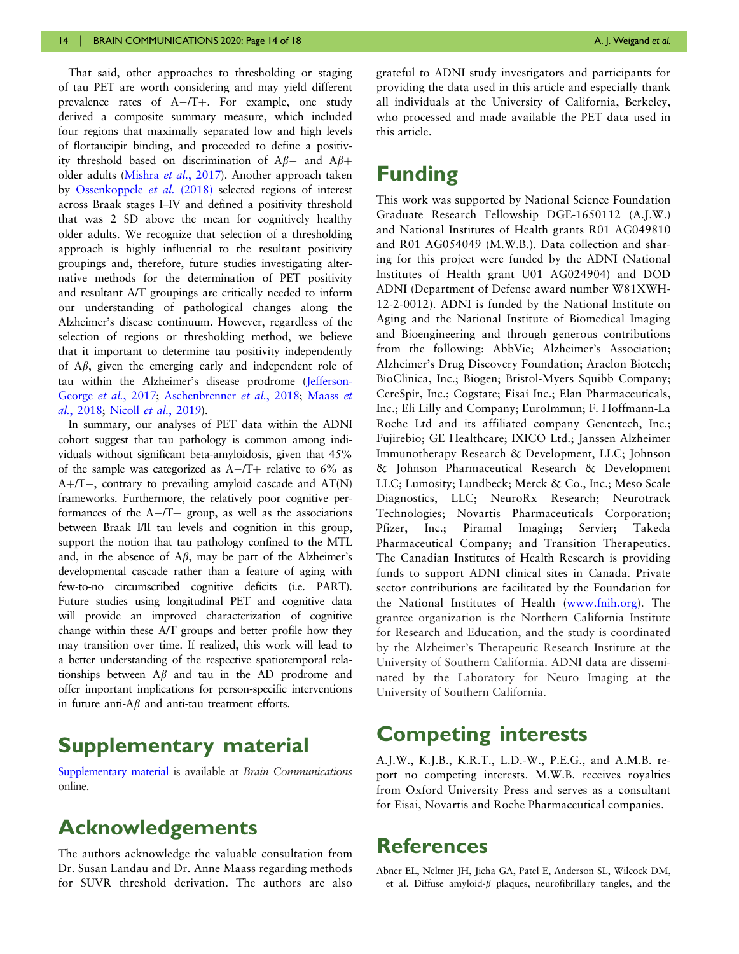<span id="page-13-0"></span>That said, other approaches to thresholding or staging of tau PET are worth considering and may yield different prevalence rates of  $A - T +$ . For example, one study derived a composite summary measure, which included four regions that maximally separated low and high levels of flortaucipir binding, and proceeded to define a positivity threshold based on discrimination of  $A\beta$  and  $A\beta$ + older adults [\(Mishra](#page-15-0) et al., 2017). Another approach taken by [Ossenkoppele](#page-15-0) et al. (2018) selected regions of interest across Braak stages I–IV and defined a positivity threshold that was 2 SD above the mean for cognitively healthy older adults. We recognize that selection of a thresholding approach is highly influential to the resultant positivity groupings and, therefore, future studies investigating alternative methods for the determination of PET positivity and resultant A/T groupings are critically needed to inform our understanding of pathological changes along the Alzheimer's disease continuum. However, regardless of the selection of regions or thresholding method, we believe that it important to determine tau positivity independently of  $\Delta\beta$ , given the emerging early and independent role of tau within the Alzheimer's disease prodrome ([Jefferson-](#page-14-0)[George](#page-14-0) et al., 2017; [Aschenbrenner](#page-14-0) et al., 2018; [Maass](#page-15-0) et al.[, 2018;](#page-15-0) Nicoll et al.[, 2019\)](#page-15-0).

In summary, our analyses of PET data within the ADNI cohort suggest that tau pathology is common among individuals without significant beta-amyloidosis, given that 45% of the sample was categorized as  $A - T$  relative to 6% as  $A+$ /T-, contrary to prevailing amyloid cascade and  $AT(N)$ frameworks. Furthermore, the relatively poor cognitive performances of the  $A - T$  group, as well as the associations between Braak I/II tau levels and cognition in this group, support the notion that tau pathology confined to the MTL and, in the absence of  $A\beta$ , may be part of the Alzheimer's developmental cascade rather than a feature of aging with few-to-no circumscribed cognitive deficits (i.e. PART). Future studies using longitudinal PET and cognitive data will provide an improved characterization of cognitive change within these A/T groups and better profile how they may transition over time. If realized, this work will lead to a better understanding of the respective spatiotemporal relationships between  $A\beta$  and tau in the AD prodrome and offer important implications for person-specific interventions in future anti- $A\beta$  and anti-tau treatment efforts.

# Supplementary material

[Supplementary material](https://academic.oup.com/braincomms/article-lookup/doi/10.1093/braincomms/fcz046#supplementary-data) is available at Brain Communications online.

## Acknowledgements

The authors acknowledge the valuable consultation from Dr. Susan Landau and Dr. Anne Maass regarding methods for SUVR threshold derivation. The authors are also

grateful to ADNI study investigators and participants for providing the data used in this article and especially thank all individuals at the University of California, Berkeley, who processed and made available the PET data used in this article.

## Funding

This work was supported by National Science Foundation Graduate Research Fellowship DGE-1650112 (A.J.W.) and National Institutes of Health grants R01 AG049810 and R01 AG054049 (M.W.B.). Data collection and sharing for this project were funded by the ADNI (National Institutes of Health grant U01 AG024904) and DOD ADNI (Department of Defense award number W81XWH-12-2-0012). ADNI is funded by the National Institute on Aging and the National Institute of Biomedical Imaging and Bioengineering and through generous contributions from the following: AbbVie; Alzheimer's Association; Alzheimer's Drug Discovery Foundation; Araclon Biotech; BioClinica, Inc.; Biogen; Bristol-Myers Squibb Company; CereSpir, Inc.; Cogstate; Eisai Inc.; Elan Pharmaceuticals, Inc.; Eli Lilly and Company; EuroImmun; F. Hoffmann-La Roche Ltd and its affiliated company Genentech, Inc.; Fujirebio; GE Healthcare; IXICO Ltd.; Janssen Alzheimer Immunotherapy Research & Development, LLC; Johnson & Johnson Pharmaceutical Research & Development LLC; Lumosity; Lundbeck; Merck & Co., Inc.; Meso Scale Diagnostics, LLC; NeuroRx Research; Neurotrack Technologies; Novartis Pharmaceuticals Corporation; Pfizer, Inc.; Piramal Imaging; Servier; Takeda Pharmaceutical Company; and Transition Therapeutics. The Canadian Institutes of Health Research is providing funds to support ADNI clinical sites in Canada. Private sector contributions are facilitated by the Foundation for the National Institutes of Health ([www.fnih.org](http://www.fnih.org)). The grantee organization is the Northern California Institute for Research and Education, and the study is coordinated by the Alzheimer's Therapeutic Research Institute at the University of Southern California. ADNI data are disseminated by the Laboratory for Neuro Imaging at the University of Southern California.

# Competing interests

A.J.W., K.J.B., K.R.T., L.D.-W., P.E.G., and A.M.B. report no competing interests. M.W.B. receives royalties from Oxford University Press and serves as a consultant for Eisai, Novartis and Roche Pharmaceutical companies.

# **References**

Abner EL, Neltner JH, Jicha GA, Patel E, Anderson SL, Wilcock DM, et al. Diffuse amyloid- $\beta$  plaques, neurofibrillary tangles, and the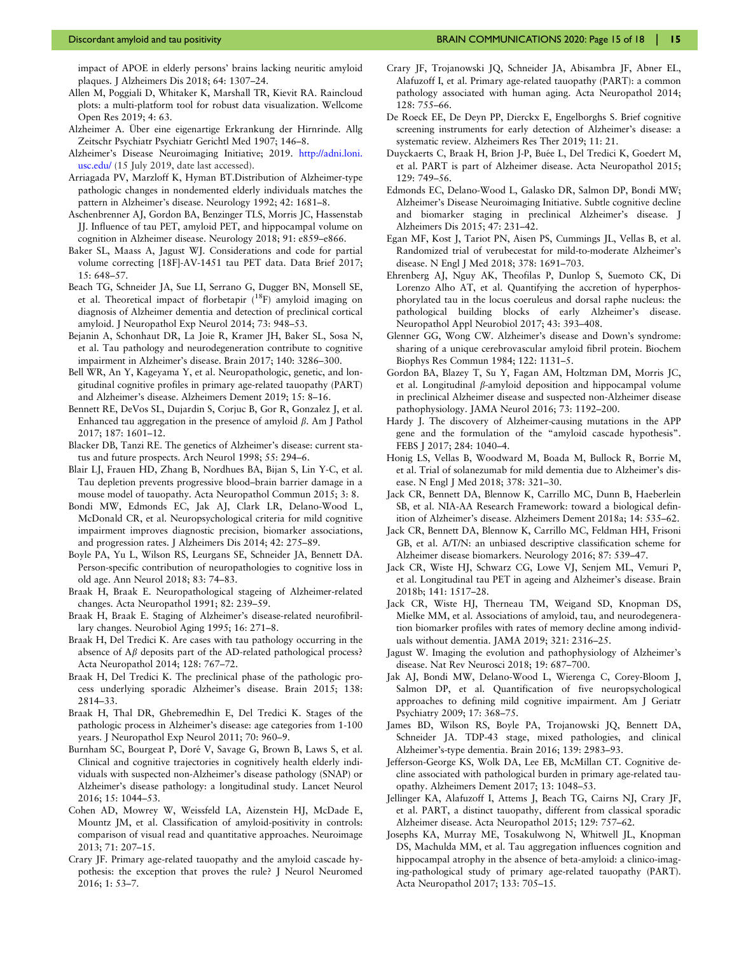<span id="page-14-0"></span>impact of APOE in elderly persons' brains lacking neuritic amyloid plaques. J Alzheimers Dis 2018; 64: 1307–24.

- Allen M, Poggiali D, Whitaker K, Marshall TR, Kievit RA. Raincloud plots: a multi-platform tool for robust data visualization. Wellcome Open Res 2019; 4: 63.
- Alzheimer A. Über eine eigenartige Erkrankung der Hirnrinde. Allg Zeitschr Psychiatr Psychiatr Gerichtl Med 1907; 146–8.
- Alzheimer's Disease Neuroimaging Initiative; 2019. [http://adni.loni.](http://adni.loni.usc.edu/) [usc.edu/](http://adni.loni.usc.edu/) (15 July 2019, date last accessed).
- Arriagada PV, Marzloff K, Hyman BT.Distribution of Alzheimer-type pathologic changes in nondemented elderly individuals matches the pattern in Alzheimer's disease. Neurology 1992; 42: 1681–8.
- Aschenbrenner AJ, Gordon BA, Benzinger TLS, Morris JC, Hassenstab JJ. Influence of tau PET, amyloid PET, and hippocampal volume on cognition in Alzheimer disease. Neurology 2018; 91: e859–e866.
- Baker SL, Maass A, Jagust WJ. Considerations and code for partial volume correcting [18F]-AV-1451 tau PET data. Data Brief 2017; 15: 648–57.
- Beach TG, Schneider JA, Sue LI, Serrano G, Dugger BN, Monsell SE, et al. Theoretical impact of florbetapir  $(^{18}F)$  amyloid imaging on diagnosis of Alzheimer dementia and detection of preclinical cortical amyloid. J Neuropathol Exp Neurol 2014; 73: 948–53.
- Bejanin A, Schonhaut DR, La Joie R, Kramer JH, Baker SL, Sosa N, et al. Tau pathology and neurodegeneration contribute to cognitive impairment in Alzheimer's disease. Brain 2017; 140: 3286–300.
- Bell WR, An Y, Kageyama Y, et al. Neuropathologic, genetic, and longitudinal cognitive profiles in primary age-related tauopathy (PART) and Alzheimer's disease. Alzheimers Dement 2019; 15: 8–16.
- Bennett RE, DeVos SL, Dujardin S, Corjuc B, Gor R, Gonzalez J, et al. Enhanced tau aggregation in the presence of amyloid  $\beta$ . Am J Pathol 2017; 187: 1601–12.
- Blacker DB, Tanzi RE. The genetics of Alzheimer's disease: current status and future prospects. Arch Neurol 1998; 55: 294–6.
- Blair LJ, Frauen HD, Zhang B, Nordhues BA, Bijan S, Lin Y-C, et al. Tau depletion prevents progressive blood–brain barrier damage in a mouse model of tauopathy. Acta Neuropathol Commun 2015; 3: 8.
- Bondi MW, Edmonds EC, Jak AJ, Clark LR, Delano-Wood L, McDonald CR, et al. Neuropsychological criteria for mild cognitive impairment improves diagnostic precision, biomarker associations, and progression rates. J Alzheimers Dis 2014; 42: 275–89.
- Boyle PA, Yu L, Wilson RS, Leurgans SE, Schneider JA, Bennett DA. Person-specific contribution of neuropathologies to cognitive loss in old age. Ann Neurol 2018; 83: 74–83.
- Braak H, Braak E. Neuropathological stageing of Alzheimer-related changes. Acta Neuropathol 1991; 82: 239–59.
- Braak H, Braak E. Staging of Alzheimer's disease-related neurofibrillary changes. Neurobiol Aging 1995; 16: 271–8.
- Braak H, Del Tredici K. Are cases with tau pathology occurring in the absence of  $A\beta$  deposits part of the AD-related pathological process? Acta Neuropathol 2014; 128: 767–72.
- Braak H, Del Tredici K. The preclinical phase of the pathologic process underlying sporadic Alzheimer's disease. Brain 2015; 138: 2814–33.
- Braak H, Thal DR, Ghebremedhin E, Del Tredici K. Stages of the pathologic process in Alzheimer's disease: age categories from 1-100 years. J Neuropathol Exp Neurol 2011; 70: 960–9.
- Burnham SC, Bourgeat P, Doré V, Savage G, Brown B, Laws S, et al. Clinical and cognitive trajectories in cognitively health elderly individuals with suspected non-Alzheimer's disease pathology (SNAP) or Alzheimer's disease pathology: a longitudinal study. Lancet Neurol 2016; 15: 1044–53.
- Cohen AD, Mowrey W, Weissfeld LA, Aizenstein HJ, McDade E, Mountz JM, et al. Classification of amyloid-positivity in controls: comparison of visual read and quantitative approaches. Neuroimage 2013; 71: 207–15.
- Crary JF. Primary age-related tauopathy and the amyloid cascade hypothesis: the exception that proves the rule? J Neurol Neuromed 2016; 1: 53–7.
- Crary JF, Trojanowski JQ, Schneider JA, Abisambra JF, Abner EL, Alafuzoff I, et al. Primary age-related tauopathy (PART): a common pathology associated with human aging. Acta Neuropathol 2014; 128: 755–66.
- De Roeck EE, De Deyn PP, Dierckx E, Engelborghs S. Brief cognitive screening instruments for early detection of Alzheimer's disease: a systematic review. Alzheimers Res Ther 2019; 11: 21.
- Duyckaerts C, Braak H, Brion J-P, Buée L, Del Tredici K, Goedert M, et al. PART is part of Alzheimer disease. Acta Neuropathol 2015; 129: 749–56.
- Edmonds EC, Delano-Wood L, Galasko DR, Salmon DP, Bondi MW; Alzheimer's Disease Neuroimaging Initiative. Subtle cognitive decline and biomarker staging in preclinical Alzheimer's disease. J Alzheimers Dis 2015; 47: 231–42.
- Egan MF, Kost J, Tariot PN, Aisen PS, Cummings JL, Vellas B, et al. Randomized trial of verubecestat for mild-to-moderate Alzheimer's disease. N Engl J Med 2018; 378: 1691–703.
- Ehrenberg AJ, Nguy AK, Theofilas P, Dunlop S, Suemoto CK, Di Lorenzo Alho AT, et al. Quantifying the accretion of hyperphosphorylated tau in the locus coeruleus and dorsal raphe nucleus: the pathological building blocks of early Alzheimer's disease. Neuropathol Appl Neurobiol 2017; 43: 393–408.
- Glenner GG, Wong CW. Alzheimer's disease and Down's syndrome: sharing of a unique cerebrovascular amyloid fibril protein. Biochem Biophys Res Commun 1984; 122: 1131–5.
- Gordon BA, Blazey T, Su Y, Fagan AM, Holtzman DM, Morris JC, et al. Longitudinal  $\beta$ -amyloid deposition and hippocampal volume in preclinical Alzheimer disease and suspected non-Alzheimer disease pathophysiology. JAMA Neurol 2016; 73: 1192–200.
- Hardy J. The discovery of Alzheimer-causing mutations in the APP gene and the formulation of the "amyloid cascade hypothesis". FEBS J 2017; 284: 1040–4.
- Honig LS, Vellas B, Woodward M, Boada M, Bullock R, Borrie M, et al. Trial of solanezumab for mild dementia due to Alzheimer's disease. N Engl J Med 2018; 378: 321–30.
- Jack CR, Bennett DA, Blennow K, Carrillo MC, Dunn B, Haeberlein SB, et al. NIA-AA Research Framework: toward a biological definition of Alzheimer's disease. Alzheimers Dement 2018a; 14: 535–62.
- Jack CR, Bennett DA, Blennow K, Carrillo MC, Feldman HH, Frisoni GB, et al. A/T/N: an unbiased descriptive classification scheme for Alzheimer disease biomarkers. Neurology 2016; 87: 539–47.
- Jack CR, Wiste HJ, Schwarz CG, Lowe VJ, Senjem ML, Vemuri P, et al. Longitudinal tau PET in ageing and Alzheimer's disease. Brain 2018b; 141: 1517–28.
- Jack CR, Wiste HJ, Therneau TM, Weigand SD, Knopman DS, Mielke MM, et al. Associations of amyloid, tau, and neurodegeneration biomarker profiles with rates of memory decline among individuals without dementia. JAMA 2019; 321: 2316–25.
- Jagust W. Imaging the evolution and pathophysiology of Alzheimer's disease. Nat Rev Neurosci 2018; 19: 687–700.
- Jak AJ, Bondi MW, Delano-Wood L, Wierenga C, Corey-Bloom J, Salmon DP, et al. Quantification of five neuropsychological approaches to defining mild cognitive impairment. Am J Geriatr Psychiatry 2009; 17: 368–75.
- James BD, Wilson RS, Boyle PA, Trojanowski JQ, Bennett DA, Schneider JA. TDP-43 stage, mixed pathologies, and clinical Alzheimer's-type dementia. Brain 2016; 139: 2983–93.
- Jefferson-George KS, Wolk DA, Lee EB, McMillan CT. Cognitive decline associated with pathological burden in primary age-related tauopathy. Alzheimers Dement 2017; 13: 1048–53.
- Jellinger KA, Alafuzoff I, Attems J, Beach TG, Cairns NJ, Crary JF, et al. PART, a distinct tauopathy, different from classical sporadic Alzheimer disease. Acta Neuropathol 2015; 129: 757–62.
- Josephs KA, Murray ME, Tosakulwong N, Whitwell JL, Knopman DS, Machulda MM, et al. Tau aggregation influences cognition and hippocampal atrophy in the absence of beta-amyloid: a clinico-imaging-pathological study of primary age-related tauopathy (PART). Acta Neuropathol 2017; 133: 705–15.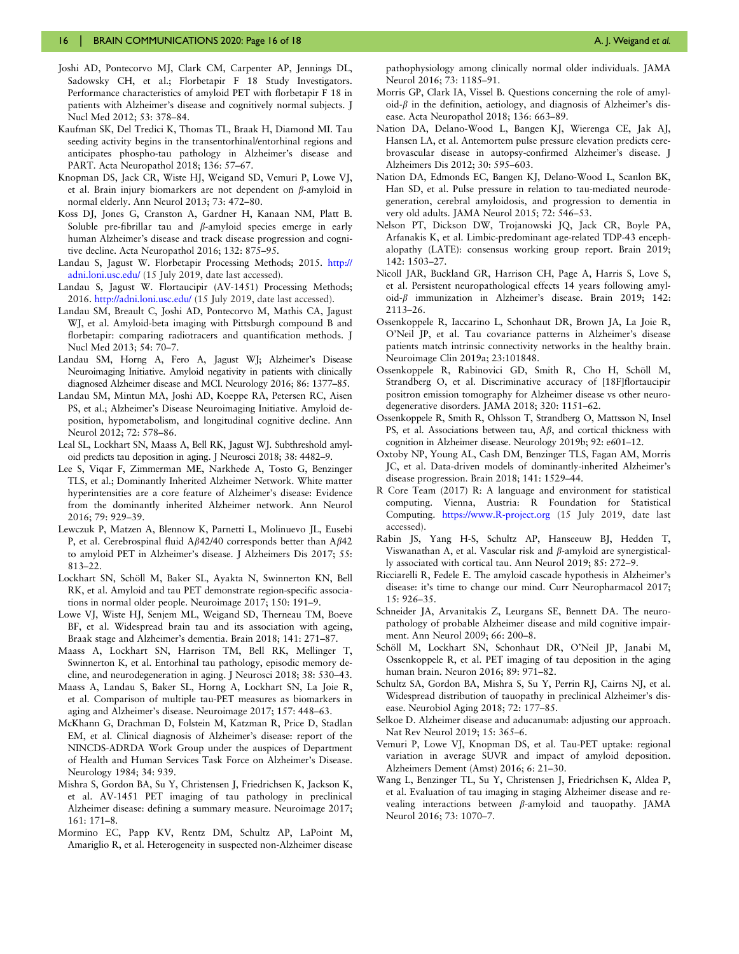- <span id="page-15-0"></span>Joshi AD, Pontecorvo MJ, Clark CM, Carpenter AP, Jennings DL, Sadowsky CH, et al.; Florbetapir F 18 Study Investigators. Performance characteristics of amyloid PET with florbetapir F 18 in patients with Alzheimer's disease and cognitively normal subjects. J Nucl Med 2012; 53: 378–84.
- Kaufman SK, Del Tredici K, Thomas TL, Braak H, Diamond MI. Tau seeding activity begins in the transentorhinal/entorhinal regions and anticipates phospho-tau pathology in Alzheimer's disease and PART. Acta Neuropathol 2018; 136: 57–67.
- Knopman DS, Jack CR, Wiste HJ, Weigand SD, Vemuri P, Lowe VJ, et al. Brain injury biomarkers are not dependent on  $\beta$ -amyloid in normal elderly. Ann Neurol 2013; 73: 472–80.
- Koss DJ, Jones G, Cranston A, Gardner H, Kanaan NM, Platt B. Soluble pre-fibrillar tau and  $\beta$ -amyloid species emerge in early human Alzheimer's disease and track disease progression and cognitive decline. Acta Neuropathol 2016; 132: 875–95.
- Landau S, Jagust W. Florbetapir Processing Methods; 2015. [http://](http://adni.loni.usc.edu/) [adni.loni.usc.edu/](http://adni.loni.usc.edu/) (15 July 2019, date last accessed).
- Landau S, Jagust W. Flortaucipir (AV-1451) Processing Methods; 2016. <http://adni.loni.usc.edu/> (15 July 2019, date last accessed).
- Landau SM, Breault C, Joshi AD, Pontecorvo M, Mathis CA, Jagust WJ, et al. Amyloid-beta imaging with Pittsburgh compound B and florbetapir: comparing radiotracers and quantification methods. J Nucl Med 2013; 54: 70–7.
- Landau SM, Horng A, Fero A, Jagust WJ; Alzheimer's Disease Neuroimaging Initiative. Amyloid negativity in patients with clinically diagnosed Alzheimer disease and MCI. Neurology 2016; 86: 1377–85.
- Landau SM, Mintun MA, Joshi AD, Koeppe RA, Petersen RC, Aisen PS, et al.; Alzheimer's Disease Neuroimaging Initiative. Amyloid deposition, hypometabolism, and longitudinal cognitive decline. Ann Neurol 2012; 72: 578–86.
- Leal SL, Lockhart SN, Maass A, Bell RK, Jagust WJ. Subthreshold amyloid predicts tau deposition in aging. J Neurosci 2018; 38: 4482–9.
- Lee S, Viqar F, Zimmerman ME, Narkhede A, Tosto G, Benzinger TLS, et al.; Dominantly Inherited Alzheimer Network. White matter hyperintensities are a core feature of Alzheimer's disease: Evidence from the dominantly inherited Alzheimer network. Ann Neurol 2016; 79: 929–39.
- Lewczuk P, Matzen A, Blennow K, Parnetti L, Molinuevo JL, Eusebi P, et al. Cerebrospinal fluid A $\beta$ 42/40 corresponds better than A $\beta$ 42 to amyloid PET in Alzheimer's disease. J Alzheimers Dis 2017; 55: 813–22.
- Lockhart SN, Schöll M, Baker SL, Ayakta N, Swinnerton KN, Bell RK, et al. Amyloid and tau PET demonstrate region-specific associations in normal older people. Neuroimage 2017; 150: 191–9.
- Lowe VJ, Wiste HJ, Senjem ML, Weigand SD, Therneau TM, Boeve BF, et al. Widespread brain tau and its association with ageing, Braak stage and Alzheimer's dementia. Brain 2018; 141: 271–87.
- Maass A, Lockhart SN, Harrison TM, Bell RK, Mellinger T, Swinnerton K, et al. Entorhinal tau pathology, episodic memory decline, and neurodegeneration in aging. J Neurosci 2018; 38: 530–43.
- Maass A, Landau S, Baker SL, Horng A, Lockhart SN, La Joie R, et al. Comparison of multiple tau-PET measures as biomarkers in aging and Alzheimer's disease. Neuroimage 2017; 157: 448–63.
- McKhann G, Drachman D, Folstein M, Katzman R, Price D, Stadlan EM, et al. Clinical diagnosis of Alzheimer's disease: report of the NINCDS-ADRDA Work Group under the auspices of Department of Health and Human Services Task Force on Alzheimer's Disease. Neurology 1984; 34: 939.
- Mishra S, Gordon BA, Su Y, Christensen J, Friedrichsen K, Jackson K, et al. AV-1451 PET imaging of tau pathology in preclinical Alzheimer disease: defining a summary measure. Neuroimage 2017; 161: 171–8.
- Mormino EC, Papp KV, Rentz DM, Schultz AP, LaPoint M, Amariglio R, et al. Heterogeneity in suspected non-Alzheimer disease

pathophysiology among clinically normal older individuals. JAMA Neurol 2016; 73: 1185–91.

- Morris GP, Clark IA, Vissel B. Questions concerning the role of amyloid- $\beta$  in the definition, aetiology, and diagnosis of Alzheimer's disease. Acta Neuropathol 2018; 136: 663–89.
- Nation DA, Delano-Wood L, Bangen KJ, Wierenga CE, Jak AJ, Hansen LA, et al. Antemortem pulse pressure elevation predicts cerebrovascular disease in autopsy-confirmed Alzheimer's disease. J Alzheimers Dis 2012; 30: 595–603.
- Nation DA, Edmonds EC, Bangen KJ, Delano-Wood L, Scanlon BK, Han SD, et al. Pulse pressure in relation to tau-mediated neurodegeneration, cerebral amyloidosis, and progression to dementia in very old adults. JAMA Neurol 2015; 72: 546–53.
- Nelson PT, Dickson DW, Trojanowski JQ, Jack CR, Boyle PA, Arfanakis K, et al. Limbic-predominant age-related TDP-43 encephalopathy (LATE): consensus working group report. Brain 2019; 142: 1503–27.
- Nicoll JAR, Buckland GR, Harrison CH, Page A, Harris S, Love S, et al. Persistent neuropathological effects 14 years following amyloid- $\beta$  immunization in Alzheimer's disease. Brain 2019; 142: 2113–26.
- Ossenkoppele R, Iaccarino L, Schonhaut DR, Brown JA, La Joie R, O'Neil JP, et al. Tau covariance patterns in Alzheimer's disease patients match intrinsic connectivity networks in the healthy brain. Neuroimage Clin 2019a; 23:101848.
- Ossenkoppele R, Rabinovici GD, Smith R, Cho H, Schöll M, Strandberg O, et al. Discriminative accuracy of [18F]flortaucipir positron emission tomography for Alzheimer disease vs other neurodegenerative disorders. JAMA 2018; 320: 1151–62.
- Ossenkoppele R, Smith R, Ohlsson T, Strandberg O, Mattsson N, Insel PS, et al. Associations between tau,  $A\beta$ , and cortical thickness with cognition in Alzheimer disease. Neurology 2019b; 92: e601–12.
- Oxtoby NP, Young AL, Cash DM, Benzinger TLS, Fagan AM, Morris JC, et al. Data-driven models of dominantly-inherited Alzheimer's disease progression. Brain 2018; 141: 1529–44.
- R Core Team (2017) R: A language and environment for statistical computing. Vienna, Austria: R Foundation for Statistical Computing. <https://www.R-project.org> (15 July 2019, date last accessed).
- Rabin JS, Yang H-S, Schultz AP, Hanseeuw BJ, Hedden T, Viswanathan A, et al. Vascular risk and  $\beta$ -amyloid are synergistically associated with cortical tau. Ann Neurol 2019; 85: 272–9.
- Ricciarelli R, Fedele E. The amyloid cascade hypothesis in Alzheimer's disease: it's time to change our mind. Curr Neuropharmacol 2017; 15: 926–35.
- Schneider JA, Arvanitakis Z, Leurgans SE, Bennett DA. The neuropathology of probable Alzheimer disease and mild cognitive impairment. Ann Neurol 2009; 66: 200–8.
- Schöll M, Lockhart SN, Schonhaut DR, O'Neil JP, Janabi M, Ossenkoppele R, et al. PET imaging of tau deposition in the aging human brain. Neuron 2016; 89: 971–82.
- Schultz SA, Gordon BA, Mishra S, Su Y, Perrin RJ, Cairns NJ, et al. Widespread distribution of tauopathy in preclinical Alzheimer's disease. Neurobiol Aging 2018; 72: 177–85.
- Selkoe D. Alzheimer disease and aducanumab: adjusting our approach. Nat Rev Neurol 2019; 15: 365–6.
- Vemuri P, Lowe VJ, Knopman DS, et al. Tau-PET uptake: regional variation in average SUVR and impact of amyloid deposition. Alzheimers Dement (Amst) 2016; 6: 21–30.
- Wang L, Benzinger TL, Su Y, Christensen J, Friedrichsen K, Aldea P, et al. Evaluation of tau imaging in staging Alzheimer disease and revealing interactions between  $\beta$ -amyloid and tauopathy. JAMA Neurol 2016; 73: 1070–7.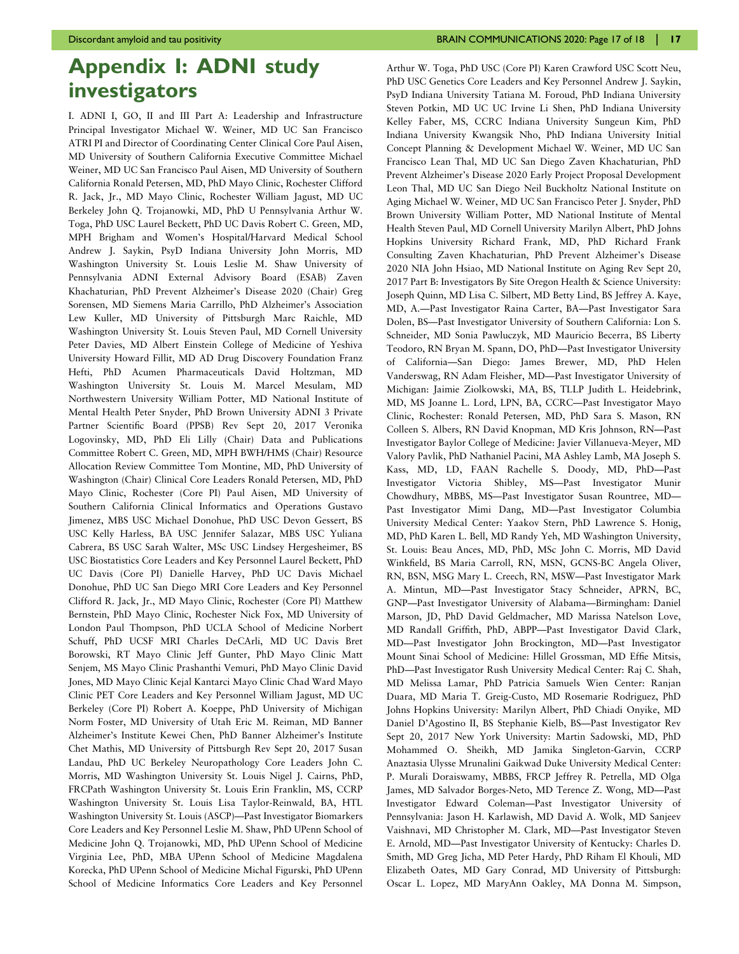# Appendix I: ADNI study investigators

I. ADNI I, GO, II and III Part A: Leadership and Infrastructure Principal Investigator Michael W. Weiner, MD UC San Francisco ATRI PI and Director of Coordinating Center Clinical Core Paul Aisen, MD University of Southern California Executive Committee Michael Weiner, MD UC San Francisco Paul Aisen, MD University of Southern California Ronald Petersen, MD, PhD Mayo Clinic, Rochester Clifford R. Jack, Jr., MD Mayo Clinic, Rochester William Jagust, MD UC Berkeley John Q. Trojanowki, MD, PhD U Pennsylvania Arthur W. Toga, PhD USC Laurel Beckett, PhD UC Davis Robert C. Green, MD, MPH Brigham and Women's Hospital/Harvard Medical School Andrew J. Saykin, PsyD Indiana University John Morris, MD Washington University St. Louis Leslie M. Shaw University of Pennsylvania ADNI External Advisory Board (ESAB) Zaven Khachaturian, PhD Prevent Alzheimer's Disease 2020 (Chair) Greg Sorensen, MD Siemens Maria Carrillo, PhD Alzheimer's Association Lew Kuller, MD University of Pittsburgh Marc Raichle, MD Washington University St. Louis Steven Paul, MD Cornell University Peter Davies, MD Albert Einstein College of Medicine of Yeshiva University Howard Fillit, MD AD Drug Discovery Foundation Franz Hefti, PhD Acumen Pharmaceuticals David Holtzman, MD Washington University St. Louis M. Marcel Mesulam, MD Northwestern University William Potter, MD National Institute of Mental Health Peter Snyder, PhD Brown University ADNI 3 Private Partner Scientific Board (PPSB) Rev Sept 20, 2017 Veronika Logovinsky, MD, PhD Eli Lilly (Chair) Data and Publications Committee Robert C. Green, MD, MPH BWH/HMS (Chair) Resource Allocation Review Committee Tom Montine, MD, PhD University of Washington (Chair) Clinical Core Leaders Ronald Petersen, MD, PhD Mayo Clinic, Rochester (Core PI) Paul Aisen, MD University of Southern California Clinical Informatics and Operations Gustavo Jimenez, MBS USC Michael Donohue, PhD USC Devon Gessert, BS USC Kelly Harless, BA USC Jennifer Salazar, MBS USC Yuliana Cabrera, BS USC Sarah Walter, MSc USC Lindsey Hergesheimer, BS USC Biostatistics Core Leaders and Key Personnel Laurel Beckett, PhD UC Davis (Core PI) Danielle Harvey, PhD UC Davis Michael Donohue, PhD UC San Diego MRI Core Leaders and Key Personnel Clifford R. Jack, Jr., MD Mayo Clinic, Rochester (Core PI) Matthew Bernstein, PhD Mayo Clinic, Rochester Nick Fox, MD University of London Paul Thompson, PhD UCLA School of Medicine Norbert Schuff, PhD UCSF MRI Charles DeCArli, MD UC Davis Bret Borowski, RT Mayo Clinic Jeff Gunter, PhD Mayo Clinic Matt Senjem, MS Mayo Clinic Prashanthi Vemuri, PhD Mayo Clinic David Jones, MD Mayo Clinic Kejal Kantarci Mayo Clinic Chad Ward Mayo Clinic PET Core Leaders and Key Personnel William Jagust, MD UC Berkeley (Core PI) Robert A. Koeppe, PhD University of Michigan Norm Foster, MD University of Utah Eric M. Reiman, MD Banner Alzheimer's Institute Kewei Chen, PhD Banner Alzheimer's Institute Chet Mathis, MD University of Pittsburgh Rev Sept 20, 2017 Susan Landau, PhD UC Berkeley Neuropathology Core Leaders John C. Morris, MD Washington University St. Louis Nigel J. Cairns, PhD, FRCPath Washington University St. Louis Erin Franklin, MS, CCRP Washington University St. Louis Lisa Taylor-Reinwald, BA, HTL Washington University St. Louis (ASCP)—Past Investigator Biomarkers Core Leaders and Key Personnel Leslie M. Shaw, PhD UPenn School of Medicine John Q. Trojanowki, MD, PhD UPenn School of Medicine Virginia Lee, PhD, MBA UPenn School of Medicine Magdalena Korecka, PhD UPenn School of Medicine Michal Figurski, PhD UPenn School of Medicine Informatics Core Leaders and Key Personnel

Arthur W. Toga, PhD USC (Core PI) Karen Crawford USC Scott Neu, PhD USC Genetics Core Leaders and Key Personnel Andrew J. Saykin, PsyD Indiana University Tatiana M. Foroud, PhD Indiana University Steven Potkin, MD UC UC Irvine Li Shen, PhD Indiana University Kelley Faber, MS, CCRC Indiana University Sungeun Kim, PhD Indiana University Kwangsik Nho, PhD Indiana University Initial Concept Planning & Development Michael W. Weiner, MD UC San Francisco Lean Thal, MD UC San Diego Zaven Khachaturian, PhD Prevent Alzheimer's Disease 2020 Early Project Proposal Development Leon Thal, MD UC San Diego Neil Buckholtz National Institute on Aging Michael W. Weiner, MD UC San Francisco Peter J. Snyder, PhD Brown University William Potter, MD National Institute of Mental Health Steven Paul, MD Cornell University Marilyn Albert, PhD Johns Hopkins University Richard Frank, MD, PhD Richard Frank Consulting Zaven Khachaturian, PhD Prevent Alzheimer's Disease 2020 NIA John Hsiao, MD National Institute on Aging Rev Sept 20, 2017 Part B: Investigators By Site Oregon Health & Science University: Joseph Quinn, MD Lisa C. Silbert, MD Betty Lind, BS Jeffrey A. Kaye, MD, A.—Past Investigator Raina Carter, BA—Past Investigator Sara Dolen, BS—Past Investigator University of Southern California: Lon S. Schneider, MD Sonia Pawluczyk, MD Mauricio Becerra, BS Liberty Teodoro, RN Bryan M. Spann, DO, PhD—Past Investigator University of California—San Diego: James Brewer, MD, PhD Helen Vanderswag, RN Adam Fleisher, MD—Past Investigator University of Michigan: Jaimie Ziolkowski, MA, BS, TLLP Judith L. Heidebrink, MD, MS Joanne L. Lord, LPN, BA, CCRC—Past Investigator Mayo Clinic, Rochester: Ronald Petersen, MD, PhD Sara S. Mason, RN Colleen S. Albers, RN David Knopman, MD Kris Johnson, RN—Past Investigator Baylor College of Medicine: Javier Villanueva-Meyer, MD Valory Pavlik, PhD Nathaniel Pacini, MA Ashley Lamb, MA Joseph S. Kass, MD, LD, FAAN Rachelle S. Doody, MD, PhD—Past Investigator Victoria Shibley, MS—Past Investigator Munir Chowdhury, MBBS, MS—Past Investigator Susan Rountree, MD— Past Investigator Mimi Dang, MD—Past Investigator Columbia University Medical Center: Yaakov Stern, PhD Lawrence S. Honig, MD, PhD Karen L. Bell, MD Randy Yeh, MD Washington University, St. Louis: Beau Ances, MD, PhD, MSc John C. Morris, MD David Winkfield, BS Maria Carroll, RN, MSN, GCNS-BC Angela Oliver, RN, BSN, MSG Mary L. Creech, RN, MSW—Past Investigator Mark A. Mintun, MD—Past Investigator Stacy Schneider, APRN, BC, GNP—Past Investigator University of Alabama—Birmingham: Daniel Marson, JD, PhD David Geldmacher, MD Marissa Natelson Love, MD Randall Griffith, PhD, ABPP—Past Investigator David Clark, MD—Past Investigator John Brockington, MD—Past Investigator Mount Sinai School of Medicine: Hillel Grossman, MD Effie Mitsis, PhD—Past Investigator Rush University Medical Center: Raj C. Shah, MD Melissa Lamar, PhD Patricia Samuels Wien Center: Ranjan Duara, MD Maria T. Greig-Custo, MD Rosemarie Rodriguez, PhD Johns Hopkins University: Marilyn Albert, PhD Chiadi Onyike, MD Daniel D'Agostino II, BS Stephanie Kielb, BS—Past Investigator Rev Sept 20, 2017 New York University: Martin Sadowski, MD, PhD Mohammed O. Sheikh, MD Jamika Singleton-Garvin, CCRP Anaztasia Ulysse Mrunalini Gaikwad Duke University Medical Center: P. Murali Doraiswamy, MBBS, FRCP Jeffrey R. Petrella, MD Olga James, MD Salvador Borges-Neto, MD Terence Z. Wong, MD—Past Investigator Edward Coleman—Past Investigator University of Pennsylvania: Jason H. Karlawish, MD David A. Wolk, MD Sanjeev Vaishnavi, MD Christopher M. Clark, MD—Past Investigator Steven E. Arnold, MD—Past Investigator University of Kentucky: Charles D. Smith, MD Greg Jicha, MD Peter Hardy, PhD Riham El Khouli, MD Elizabeth Oates, MD Gary Conrad, MD University of Pittsburgh: Oscar L. Lopez, MD MaryAnn Oakley, MA Donna M. Simpson,